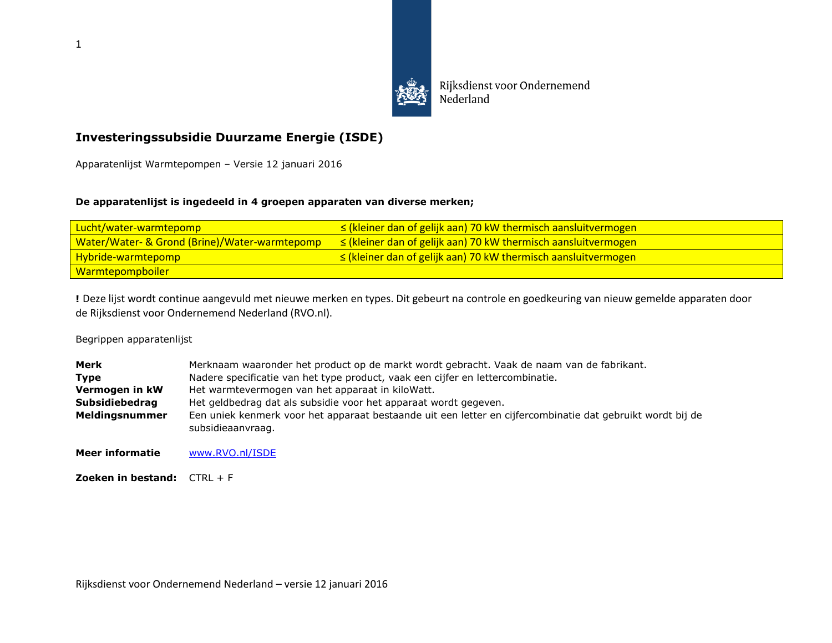

Rijksdienst voor Ondernemend Nederland

## **Investeringssubsidie Duurzame Energie (ISDE)**

Apparatenlijst Warmtepompen – Versie 12 januari 2016

## **De apparatenlijst is ingedeeld in 4 groepen apparaten van diverse merken;**

| Lucht/water-warmtepomp                                   | $\le$ (kleiner dan of gelijk aan) 70 kW thermisch aansluitvermogen |
|----------------------------------------------------------|--------------------------------------------------------------------|
| <b>Water/Water- &amp; Grond (Brine)/Water-warmtepomp</b> | $\le$ (kleiner dan of gelijk aan) 70 kW thermisch aansluitvermogen |
| <b>Hybride-warmtepomp</b>                                | $\le$ (kleiner dan of gelijk aan) 70 kW thermisch aansluitvermogen |
| <u>  Warmtepompboiler  </u>                              |                                                                    |

**!** Deze lijst wordt continue aangevuld met nieuwe merken en types. Dit gebeurt na controle en goedkeuring van nieuw gemelde apparaten door de Rijksdienst voor Ondernemend Nederland (RVO.nl).

Begrippen apparatenlijst

| Merk                  | Merknaam waaronder het product op de markt wordt gebracht. Vaak de naam van de fabrikant.                                       |
|-----------------------|---------------------------------------------------------------------------------------------------------------------------------|
| <b>Type</b>           | Nadere specificatie van het type product, vaak een cijfer en lettercombinatie.                                                  |
| Vermogen in kW        | Het warmtevermogen van het apparaat in kilo Watt.                                                                               |
| <b>Subsidiebedrag</b> | Het geldbedrag dat als subsidie voor het apparaat wordt gegeven.                                                                |
| Meldingsnummer        | Een uniek kenmerk voor het apparaat bestaande uit een letter en cijfercombinatie dat gebruikt wordt bij de<br>subsidieaanvraag. |
| Meer informatie       | www.RVO.nl/ISDE                                                                                                                 |

**Zoeken in bestand:** CTRL + F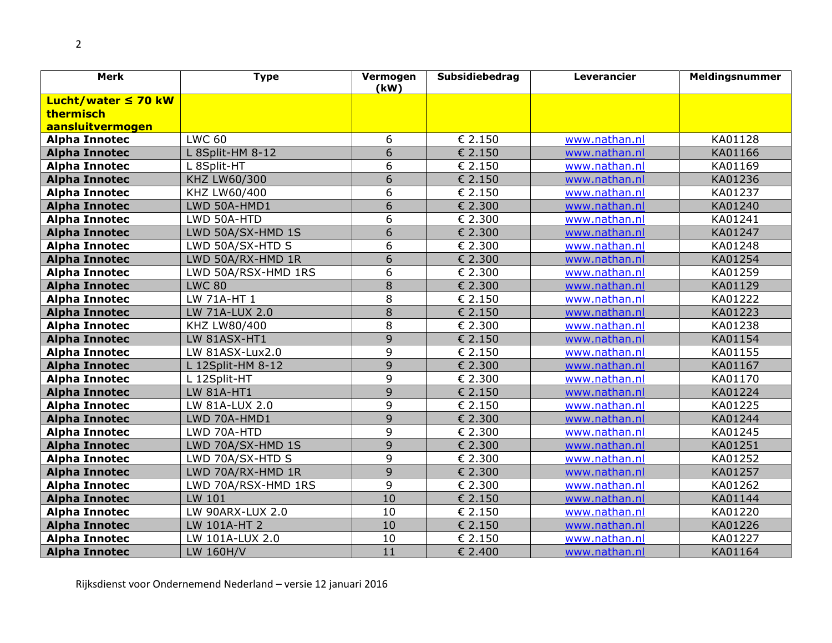2

| <b>Merk</b>              | <b>Type</b>         | Vermogen<br>(kW) | Subsidiebedrag | Leverancier   | Meldingsnummer |
|--------------------------|---------------------|------------------|----------------|---------------|----------------|
| Lucht/water $\leq 70$ kW |                     |                  |                |               |                |
| thermisch                |                     |                  |                |               |                |
| aansluitvermogen         |                     |                  |                |               |                |
| <b>Alpha Innotec</b>     | <b>LWC 60</b>       | 6                | € 2.150        | www.nathan.nl | KA01128        |
| <b>Alpha Innotec</b>     | L 8Split-HM 8-12    | $\overline{6}$   | € 2.150        | www.nathan.nl | KA01166        |
| <b>Alpha Innotec</b>     | L 8Split-HT         | 6                | € 2.150        | www.nathan.nl | KA01169        |
| <b>Alpha Innotec</b>     | KHZ LW60/300        | 6                | € 2.150        | www.nathan.nl | KA01236        |
| <b>Alpha Innotec</b>     | KHZ LW60/400        | 6                | € 2.150        | www.nathan.nl | KA01237        |
| <b>Alpha Innotec</b>     | LWD 50A-HMD1        | $\overline{6}$   | € 2.300        | www.nathan.nl | KA01240        |
| <b>Alpha Innotec</b>     | LWD 50A-HTD         | $\overline{6}$   | € 2.300        | www.nathan.nl | KA01241        |
| <b>Alpha Innotec</b>     | LWD 50A/SX-HMD 1S   | $\overline{6}$   | € 2.300        | www.nathan.nl | KA01247        |
| <b>Alpha Innotec</b>     | LWD 50A/SX-HTD S    | 6                | € 2.300        | www.nathan.nl | KA01248        |
| <b>Alpha Innotec</b>     | LWD 50A/RX-HMD 1R   | $\overline{6}$   | € 2.300        | www.nathan.nl | KA01254        |
| <b>Alpha Innotec</b>     | LWD 50A/RSX-HMD 1RS | 6                | € 2.300        | www.nathan.nl | KA01259        |
| <b>Alpha Innotec</b>     | <b>LWC 80</b>       | 8                | € 2.300        | www.nathan.nl | KA01129        |
| <b>Alpha Innotec</b>     | LW 71A-HT 1         | 8                | € 2.150        | www.nathan.nl | KA01222        |
| <b>Alpha Innotec</b>     | LW 71A-LUX 2.0      | $\overline{8}$   | € 2.150        | www.nathan.nl | KA01223        |
| <b>Alpha Innotec</b>     | KHZ LW80/400        | 8                | € 2.300        | www.nathan.nl | KA01238        |
| <b>Alpha Innotec</b>     | LW 81ASX-HT1        | 9                | € 2.150        | www.nathan.nl | KA01154        |
| <b>Alpha Innotec</b>     | LW 81ASX-Lux2.0     | 9                | € 2.150        | www.nathan.nl | KA01155        |
| <b>Alpha Innotec</b>     | L 12Split-HM 8-12   | $\overline{9}$   | € 2.300        | www.nathan.nl | KA01167        |
| <b>Alpha Innotec</b>     | L 12Split-HT        | 9                | € 2.300        | www.nathan.nl | KA01170        |
| <b>Alpha Innotec</b>     | <b>LW 81A-HT1</b>   | 9                | € 2.150        | www.nathan.nl | KA01224        |
| <b>Alpha Innotec</b>     | LW 81A-LUX 2.0      | 9                | € 2.150        | www.nathan.nl | KA01225        |
| <b>Alpha Innotec</b>     | LWD 70A-HMD1        | 9                | € 2.300        | www.nathan.nl | KA01244        |
| <b>Alpha Innotec</b>     | LWD 70A-HTD         | 9                | € 2.300        | www.nathan.nl | KA01245        |
| <b>Alpha Innotec</b>     | LWD 70A/SX-HMD 1S   | 9                | € 2.300        | www.nathan.nl | KA01251        |
| <b>Alpha Innotec</b>     | LWD 70A/SX-HTD S    | 9                | € 2.300        | www.nathan.nl | KA01252        |
| <b>Alpha Innotec</b>     | LWD 70A/RX-HMD 1R   | 9                | € 2.300        | www.nathan.nl | KA01257        |
| <b>Alpha Innotec</b>     | LWD 70A/RSX-HMD 1RS | 9                | € 2.300        | www.nathan.nl | KA01262        |
| <b>Alpha Innotec</b>     | LW 101              | 10               | € 2.150        | www.nathan.nl | KA01144        |
| <b>Alpha Innotec</b>     | LW 90ARX-LUX 2.0    | 10               | € 2.150        | www.nathan.nl | KA01220        |
| <b>Alpha Innotec</b>     | LW 101A-HT 2        | 10               | € 2.150        | www.nathan.nl | KA01226        |
| <b>Alpha Innotec</b>     | LW 101A-LUX 2.0     | 10               | € 2.150        | www.nathan.nl | KA01227        |
| <b>Alpha Innotec</b>     | LW 160H/V           | 11               | € 2.400        | www.nathan.nl | KA01164        |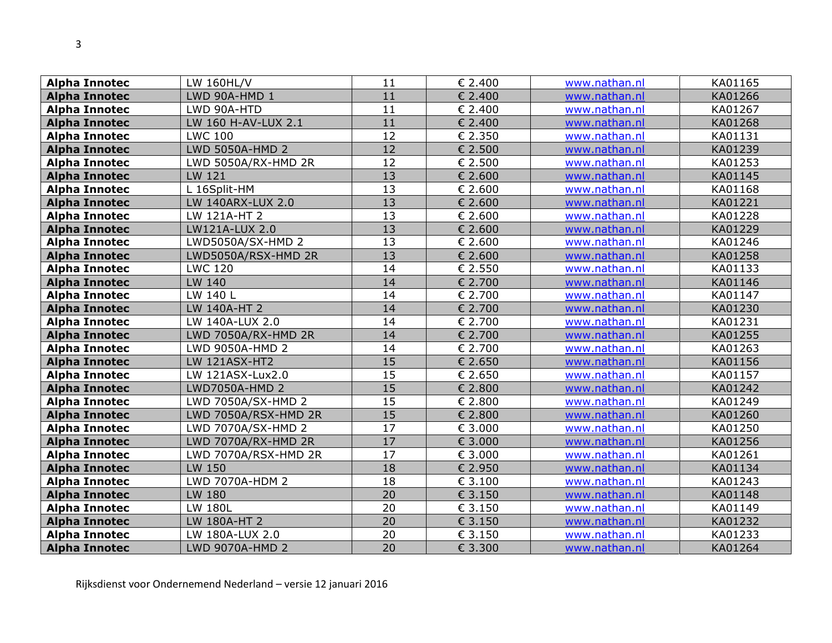| <b>Alpha Innotec</b> | LW 160HL/V           | 11 | € 2.400 | www.nathan.nl | KA01165 |
|----------------------|----------------------|----|---------|---------------|---------|
| <b>Alpha Innotec</b> | LWD 90A-HMD 1        | 11 | € 2.400 | www.nathan.nl | KA01266 |
| <b>Alpha Innotec</b> | LWD 90A-HTD          | 11 | € 2.400 | www.nathan.nl | KA01267 |
| <b>Alpha Innotec</b> | LW 160 H-AV-LUX 2.1  | 11 | € 2.400 | www.nathan.nl | KA01268 |
| <b>Alpha Innotec</b> | <b>LWC 100</b>       | 12 | € 2.350 | www.nathan.nl | KA01131 |
| <b>Alpha Innotec</b> | LWD 5050A-HMD 2      | 12 | € 2.500 | www.nathan.nl | KA01239 |
| <b>Alpha Innotec</b> | LWD 5050A/RX-HMD 2R  | 12 | € 2.500 | www.nathan.nl | KA01253 |
| <b>Alpha Innotec</b> | LW 121               | 13 | € 2.600 | www.nathan.nl | KA01145 |
| <b>Alpha Innotec</b> | L 16Split-HM         | 13 | € 2.600 | www.nathan.nl | KA01168 |
| <b>Alpha Innotec</b> | LW 140ARX-LUX 2.0    | 13 | € 2.600 | www.nathan.nl | KA01221 |
| <b>Alpha Innotec</b> | LW 121A-HT 2         | 13 | € 2.600 | www.nathan.nl | KA01228 |
| <b>Alpha Innotec</b> | LW121A-LUX 2.0       | 13 | € 2.600 | www.nathan.nl | KA01229 |
| <b>Alpha Innotec</b> | LWD5050A/SX-HMD 2    | 13 | € 2.600 | www.nathan.nl | KA01246 |
| <b>Alpha Innotec</b> | LWD5050A/RSX-HMD 2R  | 13 | € 2.600 | www.nathan.nl | KA01258 |
| <b>Alpha Innotec</b> | <b>LWC 120</b>       | 14 | € 2.550 | www.nathan.nl | KA01133 |
| <b>Alpha Innotec</b> | LW 140               | 14 | € 2.700 | www.nathan.nl | KA01146 |
| <b>Alpha Innotec</b> | LW 140 L             | 14 | € 2.700 | www.nathan.nl | KA01147 |
| <b>Alpha Innotec</b> | LW 140A-HT 2         | 14 | € 2.700 | www.nathan.nl | KA01230 |
| <b>Alpha Innotec</b> | LW 140A-LUX 2.0      | 14 | € 2.700 | www.nathan.nl | KA01231 |
| <b>Alpha Innotec</b> | LWD 7050A/RX-HMD 2R  | 14 | € 2.700 | www.nathan.nl | KA01255 |
| <b>Alpha Innotec</b> | LWD 9050A-HMD 2      | 14 | € 2.700 | www.nathan.nl | KA01263 |
| <b>Alpha Innotec</b> | <b>LW 121ASX-HT2</b> | 15 | € 2.650 | www.nathan.nl | KA01156 |
| <b>Alpha Innotec</b> | LW 121ASX-Lux2.0     | 15 | € 2.650 | www.nathan.nl | KA01157 |
| <b>Alpha Innotec</b> | LWD7050A-HMD 2       | 15 | € 2.800 | www.nathan.nl | KA01242 |
| <b>Alpha Innotec</b> | LWD 7050A/SX-HMD 2   | 15 | € 2.800 | www.nathan.nl | KA01249 |
| <b>Alpha Innotec</b> | LWD 7050A/RSX-HMD 2R | 15 | € 2.800 | www.nathan.nl | KA01260 |
| <b>Alpha Innotec</b> | LWD 7070A/SX-HMD 2   | 17 | € 3.000 | www.nathan.nl | KA01250 |
| <b>Alpha Innotec</b> | LWD 7070A/RX-HMD 2R  | 17 | € 3.000 | www.nathan.nl | KA01256 |
| <b>Alpha Innotec</b> | LWD 7070A/RSX-HMD 2R | 17 | € 3.000 | www.nathan.nl | KA01261 |
| <b>Alpha Innotec</b> | LW 150               | 18 | € 2.950 | www.nathan.nl | KA01134 |
| <b>Alpha Innotec</b> | LWD 7070A-HDM 2      | 18 | € 3.100 | www.nathan.nl | KA01243 |
| <b>Alpha Innotec</b> | LW 180               | 20 | € 3.150 | www.nathan.nl | KA01148 |
| <b>Alpha Innotec</b> | LW 180L              | 20 | € 3.150 | www.nathan.nl | KA01149 |
| <b>Alpha Innotec</b> | LW 180A-HT 2         | 20 | € 3.150 | www.nathan.nl | KA01232 |
| <b>Alpha Innotec</b> | LW 180A-LUX 2.0      | 20 | € 3.150 | www.nathan.nl | KA01233 |
| <b>Alpha Innotec</b> | LWD 9070A-HMD 2      | 20 | € 3.300 | www.nathan.nl | KA01264 |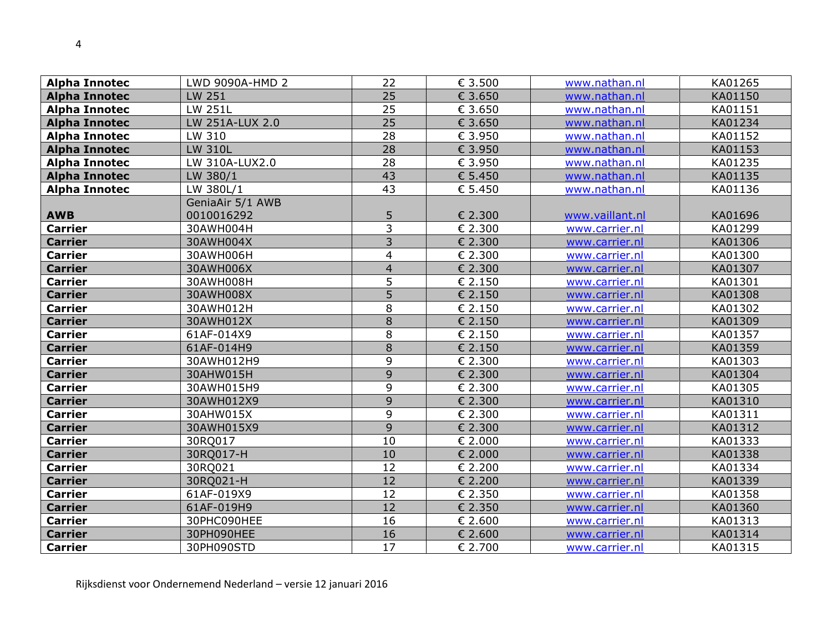| <b>Alpha Innotec</b> | LWD 9090A-HMD 2  | 22              | € 3.500 | www.nathan.nl   | KA01265 |
|----------------------|------------------|-----------------|---------|-----------------|---------|
| <b>Alpha Innotec</b> | LW 251           | 25              | € 3.650 | www.nathan.nl   | KA01150 |
| <b>Alpha Innotec</b> | LW 251L          | 25              | € 3.650 | www.nathan.nl   | KA01151 |
| <b>Alpha Innotec</b> | LW 251A-LUX 2.0  | $\overline{25}$ | € 3.650 | www.nathan.nl   | KA01234 |
| <b>Alpha Innotec</b> | LW 310           | 28              | € 3.950 | www.nathan.nl   | KA01152 |
| <b>Alpha Innotec</b> | <b>LW 310L</b>   | 28              | € 3.950 | www.nathan.nl   | KA01153 |
| <b>Alpha Innotec</b> | LW 310A-LUX2.0   | 28              | € 3.950 | www.nathan.nl   | KA01235 |
| <b>Alpha Innotec</b> | LW 380/1         | 43              | € 5.450 | www.nathan.nl   | KA01135 |
| <b>Alpha Innotec</b> | LW 380L/1        | 43              | € 5.450 | www.nathan.nl   | KA01136 |
|                      | GeniaAir 5/1 AWB |                 |         |                 |         |
| <b>AWB</b>           | 0010016292       | 5               | € 2.300 | www.vaillant.nl | KA01696 |
| <b>Carrier</b>       | 30AWH004H        | 3               | € 2.300 | www.carrier.nl  | KA01299 |
| <b>Carrier</b>       | 30AWH004X        | 3               | € 2.300 | www.carrier.nl  | KA01306 |
| <b>Carrier</b>       | 30AWH006H        | 4               | € 2.300 | www.carrier.nl  | KA01300 |
| <b>Carrier</b>       | 30AWH006X        | $\overline{4}$  | € 2.300 | www.carrier.nl  | KA01307 |
| <b>Carrier</b>       | 30AWH008H        | 5               | € 2.150 | www.carrier.nl  | KA01301 |
| <b>Carrier</b>       | 30AWH008X        | 5               | € 2.150 | www.carrier.nl  | KA01308 |
| <b>Carrier</b>       | 30AWH012H        | 8               | € 2.150 | www.carrier.nl  | KA01302 |
| <b>Carrier</b>       | 30AWH012X        | 8               | € 2.150 | www.carrier.nl  | KA01309 |
| <b>Carrier</b>       | 61AF-014X9       | 8               | € 2.150 | www.carrier.nl  | KA01357 |
| <b>Carrier</b>       | 61AF-014H9       | 8               | € 2.150 | www.carrier.nl  | KA01359 |
| <b>Carrier</b>       | 30AWH012H9       | 9               | € 2.300 | www.carrier.nl  | KA01303 |
| <b>Carrier</b>       | 30AHW015H        | 9               | € 2.300 | www.carrier.nl  | KA01304 |
| <b>Carrier</b>       | 30AWH015H9       | 9               | € 2.300 | www.carrier.nl  | KA01305 |
| <b>Carrier</b>       | 30AWH012X9       | 9               | € 2.300 | www.carrier.nl  | KA01310 |
| <b>Carrier</b>       | 30AHW015X        | 9               | € 2.300 | www.carrier.nl  | KA01311 |
| <b>Carrier</b>       | 30AWH015X9       | 9               | € 2.300 | www.carrier.nl  | KA01312 |
| <b>Carrier</b>       | 30RQ017          | 10              | € 2.000 | www.carrier.nl  | KA01333 |
| <b>Carrier</b>       | 30RQ017-H        | 10              | € 2.000 | www.carrier.nl  | KA01338 |
| <b>Carrier</b>       | 30RQ021          | 12              | € 2.200 | www.carrier.nl  | KA01334 |
| <b>Carrier</b>       | 30RQ021-H        | 12              | € 2.200 | www.carrier.nl  | KA01339 |
| <b>Carrier</b>       | 61AF-019X9       | 12              | € 2.350 | www.carrier.nl  | KA01358 |
| <b>Carrier</b>       | 61AF-019H9       | 12              | € 2.350 | www.carrier.nl  | KA01360 |
| <b>Carrier</b>       | 30PHC090HEE      | 16              | € 2.600 | www.carrier.nl  | KA01313 |
| <b>Carrier</b>       | 30PH090HEE       | 16              | € 2.600 | www.carrier.nl  | KA01314 |
| <b>Carrier</b>       | 30PH090STD       | 17              | € 2.700 | www.carrier.nl  | KA01315 |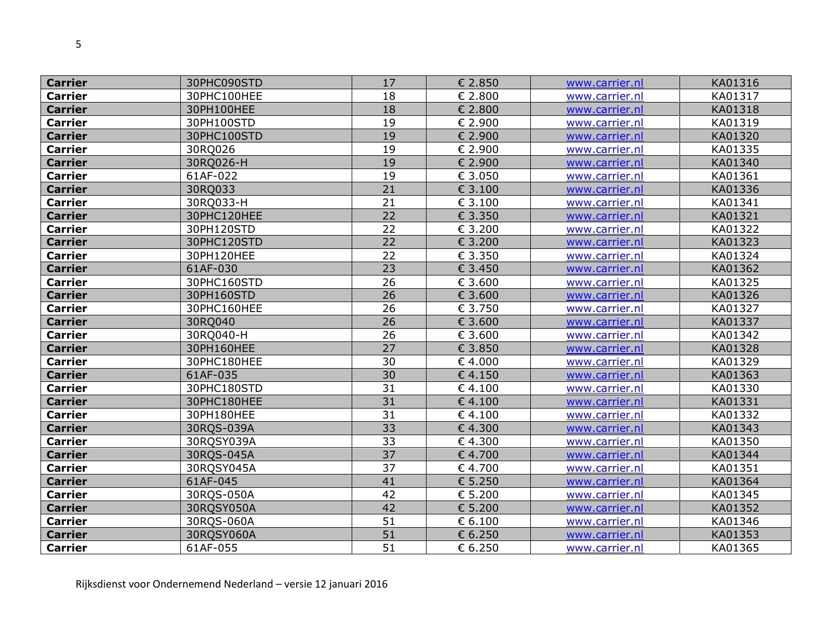| <b>Carrier</b> | 30PHC090STD | 17              | € 2.850 | www.carrier.nl | KA01316 |
|----------------|-------------|-----------------|---------|----------------|---------|
| <b>Carrier</b> | 30PHC100HEE | 18              | € 2.800 | www.carrier.nl | KA01317 |
| <b>Carrier</b> | 30PH100HEE  | 18              | € 2.800 | www.carrier.nl | KA01318 |
| <b>Carrier</b> | 30PH100STD  | 19              | € 2.900 | www.carrier.nl | KA01319 |
| <b>Carrier</b> | 30PHC100STD | 19              | € 2.900 | www.carrier.nl | KA01320 |
| <b>Carrier</b> | 30RQ026     | 19              | € 2.900 | www.carrier.nl | KA01335 |
| <b>Carrier</b> | 30RQ026-H   | 19              | € 2.900 | www.carrier.nl | KA01340 |
| <b>Carrier</b> | 61AF-022    | 19              | € 3.050 | www.carrier.nl | KA01361 |
| <b>Carrier</b> | 30RQ033     | 21              | € 3.100 | www.carrier.nl | KA01336 |
| <b>Carrier</b> | 30RQ033-H   | 21              | € 3.100 | www.carrier.nl | KA01341 |
| <b>Carrier</b> | 30PHC120HEE | 22              | € 3.350 | www.carrier.nl | KA01321 |
| <b>Carrier</b> | 30PH120STD  | 22              | € 3.200 | www.carrier.nl | KA01322 |
| <b>Carrier</b> | 30PHC120STD | 22              | € 3.200 | www.carrier.nl | KA01323 |
| <b>Carrier</b> | 30PH120HEE  | 22              | € 3.350 | www.carrier.nl | KA01324 |
| <b>Carrier</b> | 61AF-030    | 23              | € 3.450 | www.carrier.nl | KA01362 |
| <b>Carrier</b> | 30PHC160STD | 26              | € 3.600 | www.carrier.nl | KA01325 |
| <b>Carrier</b> | 30PH160STD  | $\overline{26}$ | € 3.600 | www.carrier.nl | KA01326 |
| <b>Carrier</b> | 30PHC160HEE | 26              | € 3.750 | www.carrier.nl | KA01327 |
| <b>Carrier</b> | 30RQ040     | 26              | € 3.600 | www.carrier.nl | KA01337 |
| <b>Carrier</b> | 30RQ040-H   | 26              | € 3.600 | www.carrier.nl | KA01342 |
| <b>Carrier</b> | 30PH160HEE  | 27              | € 3.850 | www.carrier.nl | KA01328 |
| <b>Carrier</b> | 30PHC180HEE | 30              | €4.000  | www.carrier.nl | KA01329 |
| <b>Carrier</b> | 61AF-035    | 30              | € 4.150 | www.carrier.nl | KA01363 |
| <b>Carrier</b> | 30PHC180STD | 31              | € 4.100 | www.carrier.nl | KA01330 |
| <b>Carrier</b> | 30PHC180HEE | 31              | €4.100  | www.carrier.nl | KA01331 |
| <b>Carrier</b> | 30PH180HEE  | 31              | € 4.100 | www.carrier.nl | KA01332 |
| <b>Carrier</b> | 30RQS-039A  | 33              | €4.300  | www.carrier.nl | KA01343 |
| <b>Carrier</b> | 30RQSY039A  | 33              | €4.300  | www.carrier.nl | KA01350 |
| <b>Carrier</b> | 30RQS-045A  | 37              | € 4.700 | www.carrier.nl | KA01344 |
| <b>Carrier</b> | 30RQSY045A  | 37              | €4.700  | www.carrier.nl | KA01351 |
| <b>Carrier</b> | 61AF-045    | 41              | € 5.250 | www.carrier.nl | KA01364 |
| <b>Carrier</b> | 30RQS-050A  | 42              | € 5.200 | www.carrier.nl | KA01345 |
| <b>Carrier</b> | 30RQSY050A  | 42              | € 5.200 | www.carrier.nl | KA01352 |
| <b>Carrier</b> | 30RQS-060A  | 51              | € 6.100 | www.carrier.nl | KA01346 |
| <b>Carrier</b> | 30RQSY060A  | 51              | € 6.250 | www.carrier.nl | KA01353 |
| <b>Carrier</b> | 61AF-055    | 51              | € 6.250 | www.carrier.nl | KA01365 |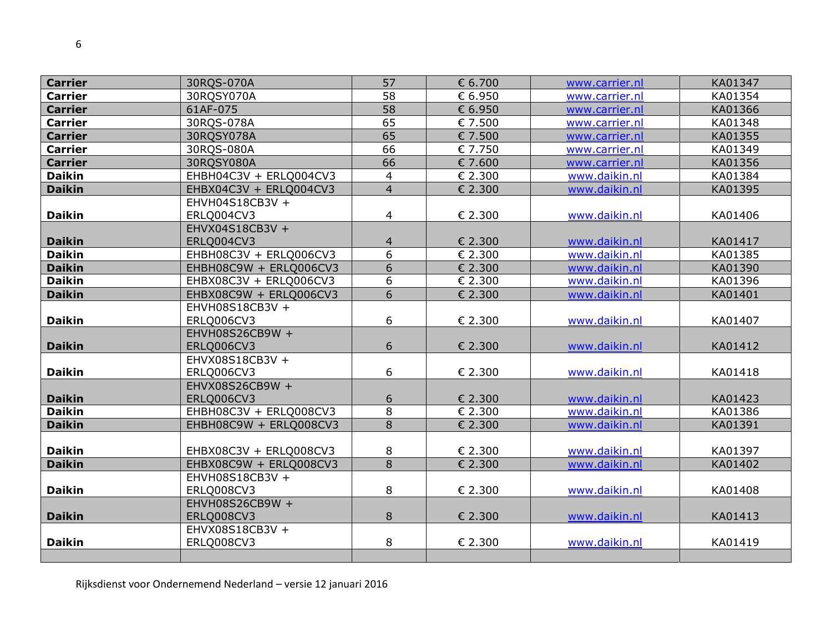| <b>Carrier</b> | 30RQS-070A             | 57             | € 6.700 | www.carrier.nl | KA01347 |
|----------------|------------------------|----------------|---------|----------------|---------|
| <b>Carrier</b> | 30RQSY070A             | 58             | € 6.950 | www.carrier.nl | KA01354 |
| <b>Carrier</b> | 61AF-075               | 58             | € 6.950 | www.carrier.nl | KA01366 |
| <b>Carrier</b> | 30RQS-078A             | 65             | € 7.500 | www.carrier.nl | KA01348 |
| <b>Carrier</b> | 30RQSY078A             | 65             | € 7.500 | www.carrier.nl | KA01355 |
| <b>Carrier</b> | 30RQS-080A             | 66             | € 7.750 | www.carrier.nl | KA01349 |
| <b>Carrier</b> | 30RQSY080A             | 66             | € 7.600 | www.carrier.nl | KA01356 |
| <b>Daikin</b>  | EHBH04C3V + ERLQ004CV3 | 4              | € 2.300 | www.daikin.nl  | KA01384 |
| <b>Daikin</b>  | EHBX04C3V + ERLQ004CV3 | $\overline{4}$ | € 2.300 | www.daikin.nl  | KA01395 |
|                | EHVH04S18CB3V +        |                |         |                |         |
| <b>Daikin</b>  | ERLQ004CV3             | 4              | € 2.300 | www.daikin.nl  | KA01406 |
|                | EHVX04S18CB3V +        |                |         |                |         |
| <b>Daikin</b>  | ERLQ004CV3             | $\overline{4}$ | € 2.300 | www.daikin.nl  | KA01417 |
| <b>Daikin</b>  | EHBH08C3V + ERLQ006CV3 | 6              | € 2.300 | www.daikin.nl  | KA01385 |
| <b>Daikin</b>  | EHBH08C9W + ERLQ006CV3 | 6              | € 2.300 | www.daikin.nl  | KA01390 |
| <b>Daikin</b>  | EHBX08C3V + ERLQ006CV3 | 6              | € 2.300 | www.daikin.nl  | KA01396 |
| <b>Daikin</b>  | EHBX08C9W + ERLQ006CV3 | 6              | € 2.300 | www.daikin.nl  | KA01401 |
|                | EHVH08S18CB3V +        |                |         |                |         |
| <b>Daikin</b>  | ERLQ006CV3             | 6              | € 2.300 | www.daikin.nl  | KA01407 |
|                | EHVH08S26CB9W +        |                |         |                |         |
| <b>Daikin</b>  | ERLQ006CV3             | 6              | € 2.300 | www.daikin.nl  | KA01412 |
|                | EHVX08S18CB3V +        |                |         |                |         |
| <b>Daikin</b>  | ERLQ006CV3             | 6              | € 2.300 | www.daikin.nl  | KA01418 |
|                | EHVX08S26CB9W +        |                |         |                |         |
| <b>Daikin</b>  | ERLQ006CV3             | 6              | € 2.300 | www.daikin.nl  | KA01423 |
| <b>Daikin</b>  | EHBH08C3V + ERLQ008CV3 | 8              | € 2.300 | www.daikin.nl  | KA01386 |
| <b>Daikin</b>  | EHBH08C9W + ERLQ008CV3 | 8              | € 2.300 | www.daikin.nl  | KA01391 |
|                |                        |                |         |                |         |
| <b>Daikin</b>  | EHBX08C3V + ERLQ008CV3 | 8              | € 2.300 | www.daikin.nl  | KA01397 |
| <b>Daikin</b>  | EHBX08C9W + ERLQ008CV3 | $\overline{8}$ | € 2.300 | www.daikin.nl  | KA01402 |
|                | EHVH08S18CB3V +        |                |         |                |         |
| <b>Daikin</b>  | ERLQ008CV3             | 8              | € 2.300 | www.daikin.nl  | KA01408 |
|                | EHVH08S26CB9W +        |                |         |                |         |
| <b>Daikin</b>  | ERLQ008CV3             | 8              | € 2.300 | www.daikin.nl  | KA01413 |
|                | EHVX08S18CB3V +        |                |         |                |         |
| <b>Daikin</b>  | ERLQ008CV3             | 8              | € 2.300 | www.daikin.nl  | KA01419 |
|                |                        |                |         |                |         |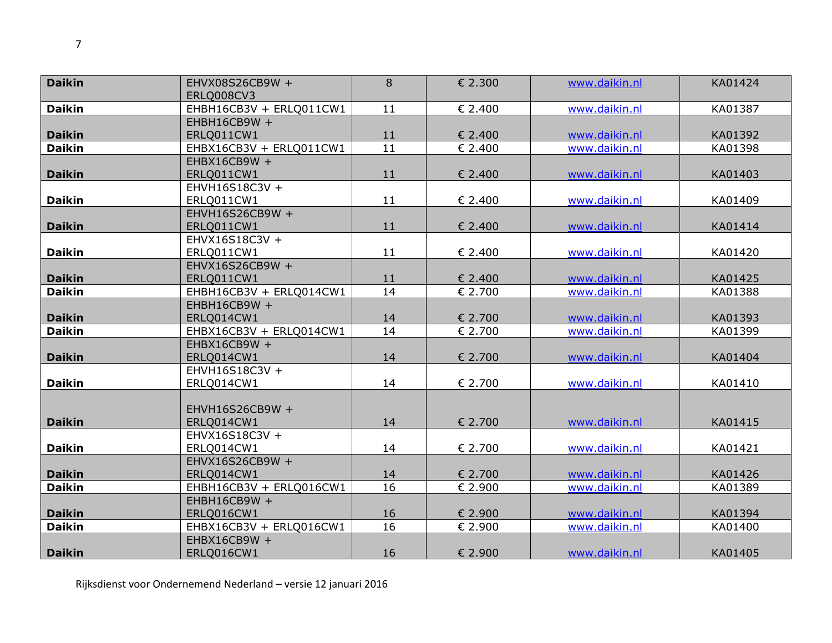| <b>Daikin</b> | EHVX08S26CB9W +         | 8               | € 2.300 | www.daikin.nl | KA01424 |
|---------------|-------------------------|-----------------|---------|---------------|---------|
|               | ERLQ008CV3              |                 |         |               |         |
| <b>Daikin</b> | EHBH16CB3V + ERLQ011CW1 | 11              | € 2.400 | www.daikin.nl | KA01387 |
|               | EHBH16CB9W +            |                 |         |               |         |
| <b>Daikin</b> | ERLQ011CW1              | 11              | € 2.400 | www.daikin.nl | KA01392 |
| <b>Daikin</b> | EHBX16CB3V + ERLQ011CW1 | $\overline{11}$ | € 2.400 | www.daikin.nl | KA01398 |
|               | EHBX16CB9W +            |                 |         |               |         |
| <b>Daikin</b> | ERLQ011CW1              | 11              | € 2.400 | www.daikin.nl | KA01403 |
|               | EHVH16S18C3V +          |                 |         |               |         |
| <b>Daikin</b> | ERLQ011CW1              | 11              | € 2.400 | www.daikin.nl | KA01409 |
|               | EHVH16S26CB9W +         |                 |         |               |         |
| <b>Daikin</b> | ERLQ011CW1              | 11              | € 2.400 | www.daikin.nl | KA01414 |
|               | EHVX16S18C3V +          |                 |         |               |         |
| <b>Daikin</b> | ERLQ011CW1              | 11              | € 2.400 | www.daikin.nl | KA01420 |
|               | EHVX16S26CB9W +         |                 |         |               |         |
| <b>Daikin</b> | ERLQ011CW1              | 11              | € 2.400 | www.daikin.nl | KA01425 |
| <b>Daikin</b> | EHBH16CB3V + ERLQ014CW1 | 14              | € 2.700 | www.daikin.nl | KA01388 |
|               | EHBH16CB9W +            |                 |         |               |         |
| <b>Daikin</b> | ERLQ014CW1              | 14              | € 2.700 | www.daikin.nl | KA01393 |
| <b>Daikin</b> | EHBX16CB3V + ERLQ014CW1 | 14              | € 2.700 | www.daikin.nl | KA01399 |
|               | EHBX16CB9W +            |                 |         |               |         |
| <b>Daikin</b> | ERLQ014CW1              | 14              | € 2.700 | www.daikin.nl | KA01404 |
|               | EHVH16S18C3V +          |                 |         |               |         |
| <b>Daikin</b> | ERLQ014CW1              | 14              | € 2.700 | www.daikin.nl | KA01410 |
|               |                         |                 |         |               |         |
|               | EHVH16S26CB9W +         |                 |         |               |         |
| <b>Daikin</b> | ERLQ014CW1              | 14              | € 2.700 | www.daikin.nl | KA01415 |
|               | EHVX16S18C3V +          |                 |         |               |         |
| <b>Daikin</b> | ERLQ014CW1              | 14              | € 2.700 | www.daikin.nl | KA01421 |
|               | EHVX16S26CB9W +         |                 |         |               |         |
| <b>Daikin</b> | ERLQ014CW1              | 14              | € 2.700 | www.daikin.nl | KA01426 |
| <b>Daikin</b> | EHBH16CB3V + ERLQ016CW1 | 16              | € 2.900 | www.daikin.nl | KA01389 |
|               | EHBH16CB9W +            |                 |         |               |         |
| <b>Daikin</b> | ERLQ016CW1              | 16              | € 2.900 | www.daikin.nl | KA01394 |
| <b>Daikin</b> | EHBX16CB3V + ERLQ016CW1 | 16              | € 2.900 | www.daikin.nl | KA01400 |
|               | EHBX16CB9W +            |                 |         |               |         |
| <b>Daikin</b> | ERLQ016CW1              | 16              | € 2.900 | www.daikin.nl | KA01405 |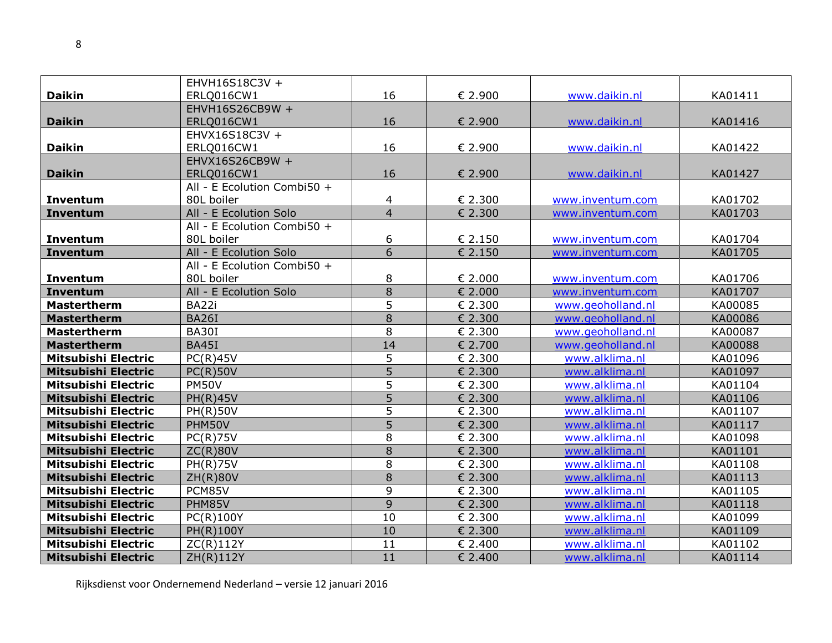|                            | EHVH16S18C3V +              |                |         |                   |         |
|----------------------------|-----------------------------|----------------|---------|-------------------|---------|
| <b>Daikin</b>              | ERLQ016CW1                  | 16             | € 2.900 | www.daikin.nl     | KA01411 |
|                            | EHVH16S26CB9W +             |                |         |                   |         |
| <b>Daikin</b>              | ERLQ016CW1                  | 16             | € 2.900 | www.daikin.nl     | KA01416 |
|                            | EHVX16S18C3V +              |                |         |                   |         |
| <b>Daikin</b>              | ERLQ016CW1                  | 16             | € 2.900 | www.daikin.nl     | KA01422 |
|                            | EHVX16S26CB9W +             |                |         |                   |         |
| <b>Daikin</b>              | ERLQ016CW1                  | 16             | € 2.900 | www.daikin.nl     | KA01427 |
|                            | All - E Ecolution Combi50 + |                |         |                   |         |
| <b>Inventum</b>            | 80L boiler                  | 4              | € 2.300 | www.inventum.com  | KA01702 |
| Inventum                   | All - E Ecolution Solo      | $\overline{4}$ | € 2.300 | www.inventum.com  | KA01703 |
|                            | All - E Ecolution Combi50 + |                |         |                   |         |
| Inventum                   | 80L boiler                  | 6              | € 2.150 | www.inventum.com  | KA01704 |
| Inventum                   | All - E Ecolution Solo      | $\overline{6}$ | € 2.150 | www.inventum.com  | KA01705 |
|                            | All - E Ecolution Combi50 + |                |         |                   |         |
| Inventum                   | 80L boiler                  | 8              | € 2.000 | www.inventum.com  | KA01706 |
| <b>Inventum</b>            | All - E Ecolution Solo      | $\overline{8}$ | € 2.000 | www.inventum.com  | KA01707 |
| <b>Mastertherm</b>         | BA22i                       | 5              | € 2.300 | www.geoholland.nl | KA00085 |
| <b>Mastertherm</b>         | <b>BA26I</b>                | $\overline{8}$ | € 2.300 | www.geoholland.nl | KA00086 |
| <b>Mastertherm</b>         | BA30I                       | 8              | € 2.300 | www.geoholland.nl | KA00087 |
| <b>Mastertherm</b>         | <b>BA45I</b>                | 14             | € 2.700 | www.geoholland.nl | KA00088 |
| <b>Mitsubishi Electric</b> | PC(R)45V                    | 5              | € 2.300 | www.alklima.nl    | KA01096 |
| <b>Mitsubishi Electric</b> | $PC(R)$ 50V                 | $\overline{5}$ | € 2.300 | www.alklima.nl    | KA01097 |
| Mitsubishi Electric        | <b>PM50V</b>                | $\overline{5}$ | € 2.300 | www.alklima.nl    | KA01104 |
| <b>Mitsubishi Electric</b> | <b>PH(R)45V</b>             | $\overline{5}$ | € 2.300 | www.alklima.nl    | KA01106 |
| <b>Mitsubishi Electric</b> | <b>PH(R)50V</b>             | 5              | € 2.300 | www.alklima.nl    | KA01107 |
| <b>Mitsubishi Electric</b> | PHM50V                      | 5              | € 2.300 | www.alklima.nl    | KA01117 |
| <b>Mitsubishi Electric</b> | $PC(R)$ 75V                 | 8              | € 2.300 | www.alklima.nl    | KA01098 |
| <b>Mitsubishi Electric</b> | ZC(R)80V                    | $\overline{8}$ | € 2.300 | www.alklima.nl    | KA01101 |
| <b>Mitsubishi Electric</b> | <b>PH(R)75V</b>             | 8              | € 2.300 | www.alklima.nl    | KA01108 |
| <b>Mitsubishi Electric</b> | <b>ZH(R)80V</b>             | $\overline{8}$ | € 2.300 | www.alklima.nl    | KA01113 |
| <b>Mitsubishi Electric</b> | PCM85V                      | 9              | € 2.300 | www.alklima.nl    | KA01105 |
| <b>Mitsubishi Electric</b> | PHM85V                      | $\overline{9}$ | € 2.300 | www.alklima.nl    | KA01118 |
| <b>Mitsubishi Electric</b> | PC(R)100Y                   | 10             | € 2.300 | www.alklima.nl    | KA01099 |
| <b>Mitsubishi Electric</b> | PH(R)100Y                   | 10             | € 2.300 | www.alklima.nl    | KA01109 |
| Mitsubishi Electric        | ZC(R)112Y                   | 11             | € 2.400 | www.alklima.nl    | KA01102 |
| <b>Mitsubishi Electric</b> | ZH(R)112Y                   | 11             | € 2.400 | www.alklima.nl    | KA01114 |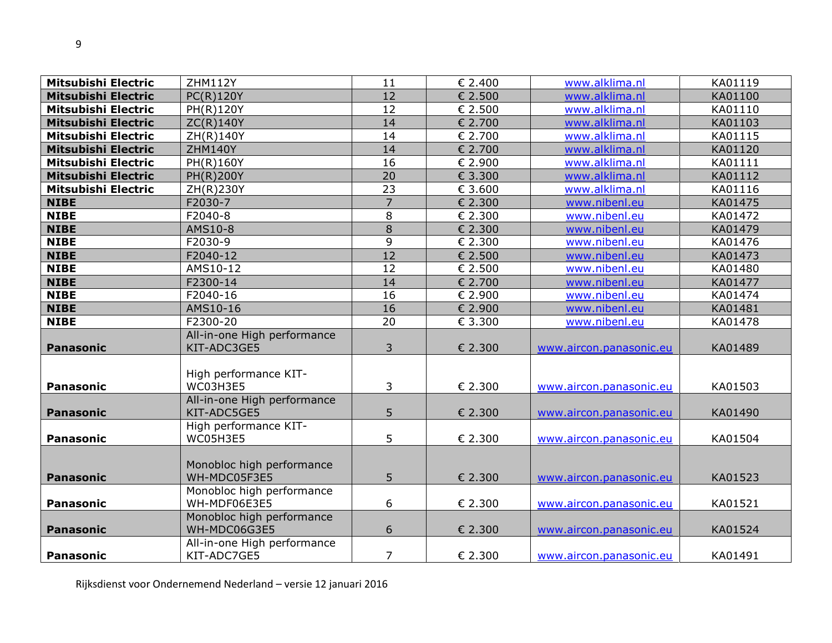| <b>Mitsubishi Electric</b> | <b>ZHM112Y</b>              | 11              | € 2.400 | www.alklima.nl          | KA01119 |
|----------------------------|-----------------------------|-----------------|---------|-------------------------|---------|
| <b>Mitsubishi Electric</b> | PC(R)120Y                   | 12              | € 2.500 | www.alklima.nl          | KA01100 |
| <b>Mitsubishi Electric</b> | PH(R)120Y                   | 12              | € 2.500 | www.alklima.nl          | KA01110 |
| <b>Mitsubishi Electric</b> | ZC(R)140Y                   | 14              | € 2.700 | www.alklima.nl          | KA01103 |
| Mitsubishi Electric        | ZH(R)140Y                   | 14              | € 2.700 | www.alklima.nl          | KA01115 |
| <b>Mitsubishi Electric</b> | <b>ZHM140Y</b>              | 14              | € 2.700 | www.alklima.nl          | KA01120 |
| <b>Mitsubishi Electric</b> | PH(R)160Y                   | 16              | € 2.900 | www.alklima.nl          | KA01111 |
| <b>Mitsubishi Electric</b> | PH(R)200Y                   | $\overline{20}$ | € 3.300 | www.alklima.nl          | KA01112 |
| <b>Mitsubishi Electric</b> | ZH(R)230Y                   | 23              | € 3.600 | www.alklima.nl          | KA01116 |
| <b>NIBE</b>                | F2030-7                     | $\overline{7}$  | € 2.300 | www.nibenl.eu           | KA01475 |
| <b>NIBE</b>                | F2040-8                     | 8               | € 2.300 | www.nibenl.eu           | KA01472 |
| <b>NIBE</b>                | AMS10-8                     | $\overline{8}$  | € 2.300 | www.nibenl.eu           | KA01479 |
| <b>NIBE</b>                | F2030-9                     | 9               | € 2.300 | www.nibenl.eu           | KA01476 |
| <b>NIBE</b>                | F2040-12                    | 12              | € 2.500 | www.nibenl.eu           | KA01473 |
| <b>NIBE</b>                | AMS10-12                    | 12              | € 2.500 | www.nibenl.eu           | KA01480 |
| <b>NIBE</b>                | F2300-14                    | 14              | € 2.700 | www.nibenl.eu           | KA01477 |
| <b>NIBE</b>                | F2040-16                    | 16              | € 2.900 | www.nibenl.eu           | KA01474 |
| <b>NIBE</b>                | AMS10-16                    | 16              | € 2.900 | www.nibenl.eu           | KA01481 |
| <b>NIBE</b>                | F2300-20                    | 20              | € 3.300 | www.nibenl.eu           | KA01478 |
|                            | All-in-one High performance |                 |         |                         |         |
| <b>Panasonic</b>           | KIT-ADC3GE5                 | 3               | € 2.300 | www.aircon.panasonic.eu | KA01489 |
|                            |                             |                 |         |                         |         |
|                            | High performance KIT-       |                 |         |                         |         |
| Panasonic                  | WC03H3E5                    | 3               | € 2.300 | www.aircon.panasonic.eu | KA01503 |
|                            | All-in-one High performance |                 |         |                         |         |
| <b>Panasonic</b>           | KIT-ADC5GE5                 | 5               | € 2.300 | www.aircon.panasonic.eu | KA01490 |
|                            | High performance KIT-       |                 |         |                         |         |
| <b>Panasonic</b>           | WC05H3E5                    | 5               | € 2.300 | www.aircon.panasonic.eu | KA01504 |
|                            |                             |                 |         |                         |         |
|                            | Monobloc high performance   |                 |         |                         |         |
| <b>Panasonic</b>           | WH-MDC05F3E5                | 5               | € 2.300 | www.aircon.panasonic.eu | KA01523 |
|                            | Monobloc high performance   |                 |         |                         |         |
| Panasonic                  | WH-MDF06E3E5                | 6               | € 2.300 | www.aircon.panasonic.eu | KA01521 |
|                            | Monobloc high performance   |                 |         |                         |         |
| <b>Panasonic</b>           | WH-MDC06G3E5                | 6               | € 2.300 | www.aircon.panasonic.eu | KA01524 |
|                            | All-in-one High performance | $\overline{7}$  |         |                         |         |
| <b>Panasonic</b>           | KIT-ADC7GE5                 |                 | € 2.300 | www.aircon.panasonic.eu | KA01491 |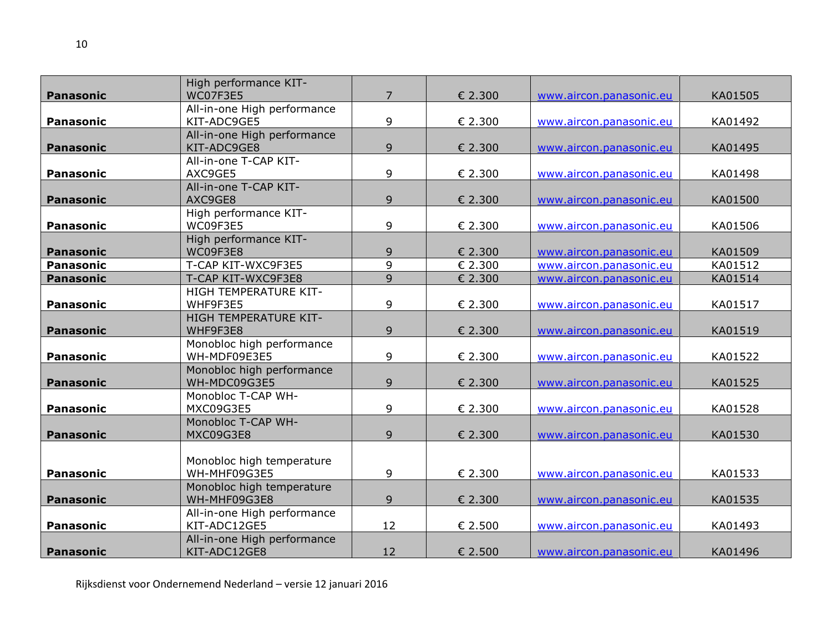|                  | High performance KIT-       |                |         |                         |         |
|------------------|-----------------------------|----------------|---------|-------------------------|---------|
| <b>Panasonic</b> | WC07F3E5                    | $\overline{7}$ | € 2.300 | www.aircon.panasonic.eu | KA01505 |
|                  | All-in-one High performance |                |         |                         |         |
| <b>Panasonic</b> | KIT-ADC9GE5                 | 9              | € 2.300 | www.aircon.panasonic.eu | KA01492 |
|                  | All-in-one High performance |                |         |                         |         |
| <b>Panasonic</b> | KIT-ADC9GE8                 | 9              | € 2.300 | www.aircon.panasonic.eu | KA01495 |
|                  | All-in-one T-CAP KIT-       |                |         |                         |         |
| <b>Panasonic</b> | AXC9GE5                     | 9              | € 2.300 | www.aircon.panasonic.eu | KA01498 |
|                  | All-in-one T-CAP KIT-       |                |         |                         |         |
| <b>Panasonic</b> | AXC9GE8                     | 9              | € 2.300 | www.aircon.panasonic.eu | KA01500 |
|                  | High performance KIT-       |                |         |                         |         |
| <b>Panasonic</b> | WC09F3E5                    | 9              | € 2.300 | www.aircon.panasonic.eu | KA01506 |
|                  | High performance KIT-       |                |         |                         |         |
| <b>Panasonic</b> | WC09F3E8                    | 9              | € 2.300 | www.aircon.panasonic.eu | KA01509 |
| <b>Panasonic</b> | T-CAP KIT-WXC9F3E5          | 9              | € 2.300 | www.aircon.panasonic.eu | KA01512 |
| <b>Panasonic</b> | T-CAP KIT-WXC9F3E8          | 9              | € 2.300 | www.aircon.panasonic.eu | KA01514 |
|                  | HIGH TEMPERATURE KIT-       |                |         |                         |         |
| <b>Panasonic</b> | WHF9F3E5                    | 9              | € 2.300 | www.aircon.panasonic.eu | KA01517 |
|                  | HIGH TEMPERATURE KIT-       |                |         |                         |         |
| <b>Panasonic</b> | WHF9F3E8                    | 9              | € 2.300 | www.aircon.panasonic.eu | KA01519 |
|                  | Monobloc high performance   |                |         |                         |         |
| <b>Panasonic</b> | WH-MDF09E3E5                | 9              | € 2.300 | www.aircon.panasonic.eu | KA01522 |
|                  | Monobloc high performance   |                |         |                         |         |
| <b>Panasonic</b> | WH-MDC09G3E5                | 9              | € 2.300 | www.aircon.panasonic.eu | KA01525 |
|                  | Monobloc T-CAP WH-          |                |         |                         |         |
| <b>Panasonic</b> | MXC09G3E5                   | 9              | € 2.300 | www.aircon.panasonic.eu | KA01528 |
|                  | Monobloc T-CAP WH-          |                |         |                         |         |
| <b>Panasonic</b> | MXC09G3E8                   | 9              | € 2.300 | www.aircon.panasonic.eu | KA01530 |
|                  |                             |                |         |                         |         |
|                  | Monobloc high temperature   |                |         |                         |         |
| <b>Panasonic</b> | WH-MHF09G3E5                | 9              | € 2.300 | www.aircon.panasonic.eu | KA01533 |
|                  | Monobloc high temperature   |                |         |                         |         |
| <b>Panasonic</b> | WH-MHF09G3E8                | 9              | € 2.300 | www.aircon.panasonic.eu | KA01535 |
|                  | All-in-one High performance |                |         |                         |         |
| <b>Panasonic</b> | KIT-ADC12GE5                | 12             | € 2.500 | www.aircon.panasonic.eu | KA01493 |
|                  | All-in-one High performance |                |         |                         |         |
| <b>Panasonic</b> | KIT-ADC12GE8                | 12             | € 2.500 | www.aircon.panasonic.eu | KA01496 |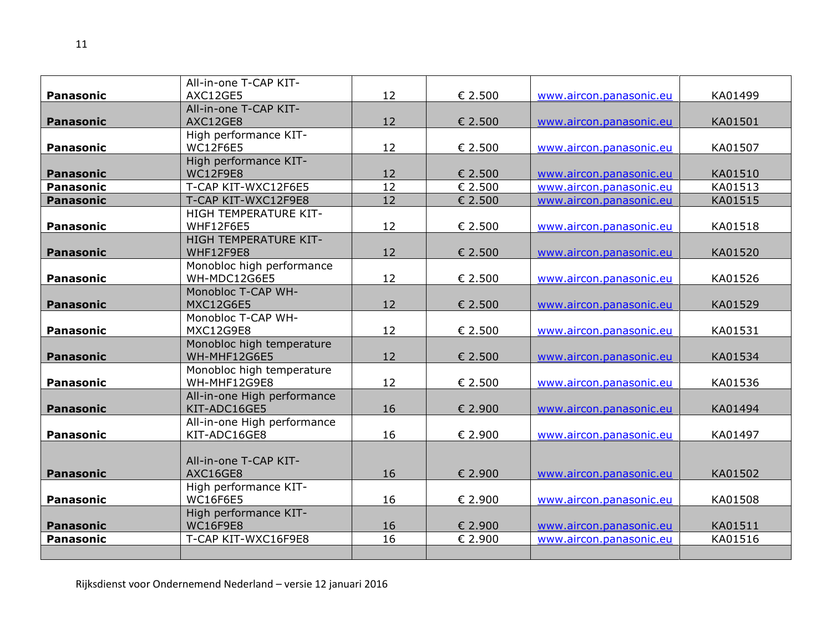|                  | All-in-one T-CAP KIT-                     |                 |         |                         |         |
|------------------|-------------------------------------------|-----------------|---------|-------------------------|---------|
| <b>Panasonic</b> | AXC12GE5                                  | 12              | € 2.500 | www.aircon.panasonic.eu | KA01499 |
|                  | All-in-one T-CAP KIT-                     |                 |         |                         |         |
| <b>Panasonic</b> | AXC12GE8                                  | 12              | € 2.500 | www.aircon.panasonic.eu | KA01501 |
|                  | High performance KIT-                     |                 |         |                         |         |
| <b>Panasonic</b> | <b>WC12F6E5</b>                           | 12              | € 2.500 | www.aircon.panasonic.eu | KA01507 |
|                  | High performance KIT-                     |                 |         |                         |         |
| <b>Panasonic</b> | <b>WC12F9E8</b>                           | 12              | € 2.500 | www.aircon.panasonic.eu | KA01510 |
| <b>Panasonic</b> | T-CAP KIT-WXC12F6E5                       | 12              | € 2.500 | www.aircon.panasonic.eu | KA01513 |
| <b>Panasonic</b> | T-CAP KIT-WXC12F9E8                       | $\overline{12}$ | € 2.500 | www.aircon.panasonic.eu | KA01515 |
|                  | HIGH TEMPERATURE KIT-                     |                 |         |                         |         |
| <b>Panasonic</b> | WHF12F6E5                                 | 12              | € 2.500 | www.aircon.panasonic.eu | KA01518 |
|                  | HIGH TEMPERATURE KIT-                     |                 |         |                         |         |
| <b>Panasonic</b> | WHF12F9E8                                 | 12              | € 2.500 | www.aircon.panasonic.eu | KA01520 |
|                  | Monobloc high performance                 |                 |         |                         |         |
| <b>Panasonic</b> | WH-MDC12G6E5                              | 12              | € 2.500 | www.aircon.panasonic.eu | KA01526 |
|                  | Monobloc T-CAP WH-                        |                 |         |                         |         |
| <b>Panasonic</b> | <b>MXC12G6E5</b>                          | 12              | € 2.500 | www.aircon.panasonic.eu | KA01529 |
|                  | Monobloc T-CAP WH-<br>MXC12G9E8           |                 |         |                         |         |
| <b>Panasonic</b> |                                           | 12              | € 2.500 | www.aircon.panasonic.eu | KA01531 |
| <b>Panasonic</b> | Monobloc high temperature<br>WH-MHF12G6E5 | 12              | € 2.500 | www.aircon.panasonic.eu | KA01534 |
|                  | Monobloc high temperature                 |                 |         |                         |         |
| <b>Panasonic</b> | WH-MHF12G9E8                              | 12              | € 2.500 | www.aircon.panasonic.eu | KA01536 |
|                  | All-in-one High performance               |                 |         |                         |         |
| <b>Panasonic</b> | KIT-ADC16GE5                              | 16              | € 2.900 | www.aircon.panasonic.eu | KA01494 |
|                  | All-in-one High performance               |                 |         |                         |         |
| <b>Panasonic</b> | KIT-ADC16GE8                              | 16              | € 2.900 | www.aircon.panasonic.eu | KA01497 |
|                  |                                           |                 |         |                         |         |
|                  | All-in-one T-CAP KIT-                     |                 |         |                         |         |
| <b>Panasonic</b> | AXC16GE8                                  | 16              | € 2.900 | www.aircon.panasonic.eu | KA01502 |
|                  | High performance KIT-                     |                 |         |                         |         |
| <b>Panasonic</b> | <b>WC16F6E5</b>                           | 16              | € 2.900 | www.aircon.panasonic.eu | KA01508 |
|                  | High performance KIT-                     |                 |         |                         |         |
| <b>Panasonic</b> | <b>WC16F9E8</b>                           | 16              | € 2.900 | www.aircon.panasonic.eu | KA01511 |
| <b>Panasonic</b> | T-CAP KIT-WXC16F9E8                       | 16              | € 2.900 | www.aircon.panasonic.eu | KA01516 |
|                  |                                           |                 |         |                         |         |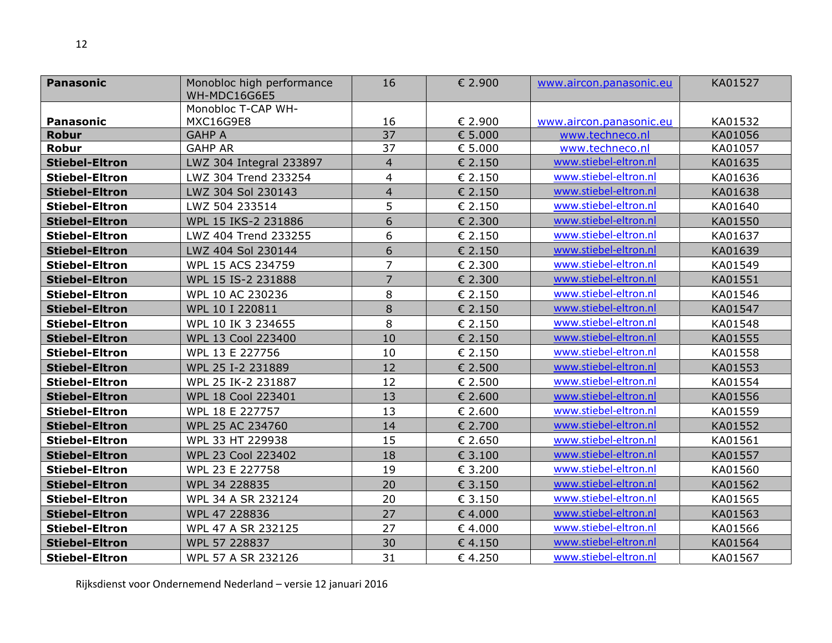| <b>Panasonic</b>      | Monobloc high performance          | 16             | € 2.900 | www.aircon.panasonic.eu | KA01527 |
|-----------------------|------------------------------------|----------------|---------|-------------------------|---------|
|                       | WH-MDC16G6E5<br>Monobloc T-CAP WH- |                |         |                         |         |
| <b>Panasonic</b>      | MXC16G9E8                          | 16             | € 2.900 | www.aircon.panasonic.eu | KA01532 |
| <b>Robur</b>          | <b>GAHP A</b>                      | 37             | € 5.000 | www.techneco.nl         | KA01056 |
| <b>Robur</b>          | <b>GAHP AR</b>                     | 37             | € 5.000 | www.techneco.nl         | KA01057 |
| <b>Stiebel-Eltron</b> | LWZ 304 Integral 233897            | $\overline{4}$ | € 2.150 | www.stiebel-eltron.nl   | KA01635 |
| <b>Stiebel-Eltron</b> | LWZ 304 Trend 233254               | 4              | € 2.150 | www.stiebel-eltron.nl   | KA01636 |
| <b>Stiebel-Eltron</b> | LWZ 304 Sol 230143                 | $\overline{4}$ | € 2.150 | www.stiebel-eltron.nl   | KA01638 |
| <b>Stiebel-Eltron</b> | LWZ 504 233514                     | 5              | € 2.150 | www.stiebel-eltron.nl   | KA01640 |
| <b>Stiebel-Eltron</b> | WPL 15 IKS-2 231886                | 6              | € 2.300 | www.stiebel-eltron.nl   | KA01550 |
| <b>Stiebel-Eltron</b> | LWZ 404 Trend 233255               | 6              | € 2.150 | www.stiebel-eltron.nl   | KA01637 |
| <b>Stiebel-Eltron</b> | LWZ 404 Sol 230144                 | 6              | € 2.150 | www.stiebel-eltron.nl   | KA01639 |
| <b>Stiebel-Eltron</b> | WPL 15 ACS 234759                  | $\overline{7}$ | € 2.300 | www.stiebel-eltron.nl   | KA01549 |
| <b>Stiebel-Eltron</b> | WPL 15 IS-2 231888                 | $\overline{7}$ | € 2.300 | www.stiebel-eltron.nl   | KA01551 |
| <b>Stiebel-Eltron</b> | WPL 10 AC 230236                   | 8              | € 2.150 | www.stiebel-eltron.nl   | KA01546 |
| <b>Stiebel-Eltron</b> | WPL 10 I 220811                    | $\,8\,$        | € 2.150 | www.stiebel-eltron.nl   | KA01547 |
| <b>Stiebel-Eltron</b> | WPL 10 IK 3 234655                 | 8              | € 2.150 | www.stiebel-eltron.nl   | KA01548 |
| <b>Stiebel-Eltron</b> | WPL 13 Cool 223400                 | 10             | € 2.150 | www.stiebel-eltron.nl   | KA01555 |
| <b>Stiebel-Eltron</b> | WPL 13 E 227756                    | 10             | € 2.150 | www.stiebel-eltron.nl   | KA01558 |
| <b>Stiebel-Eltron</b> | WPL 25 I-2 231889                  | 12             | € 2.500 | www.stiebel-eltron.nl   | KA01553 |
| <b>Stiebel-Eltron</b> | WPL 25 IK-2 231887                 | 12             | € 2.500 | www.stiebel-eltron.nl   | KA01554 |
| <b>Stiebel-Eltron</b> | WPL 18 Cool 223401                 | 13             | € 2.600 | www.stiebel-eltron.nl   | KA01556 |
| <b>Stiebel-Eltron</b> | WPL 18 E 227757                    | 13             | € 2.600 | www.stiebel-eltron.nl   | KA01559 |
| <b>Stiebel-Eltron</b> | WPL 25 AC 234760                   | 14             | € 2.700 | www.stiebel-eltron.nl   | KA01552 |
| <b>Stiebel-Eltron</b> | WPL 33 HT 229938                   | 15             | € 2.650 | www.stiebel-eltron.nl   | KA01561 |
| <b>Stiebel-Eltron</b> | WPL 23 Cool 223402                 | 18             | € 3.100 | www.stiebel-eltron.nl   | KA01557 |
| <b>Stiebel-Eltron</b> | WPL 23 E 227758                    | 19             | € 3.200 | www.stiebel-eltron.nl   | KA01560 |
| <b>Stiebel-Eltron</b> | WPL 34 228835                      | 20             | € 3.150 | www.stiebel-eltron.nl   | KA01562 |
| <b>Stiebel-Eltron</b> | WPL 34 A SR 232124                 | 20             | € 3.150 | www.stiebel-eltron.nl   | KA01565 |
| <b>Stiebel-Eltron</b> | WPL 47 228836                      | 27             | € 4.000 | www.stiebel-eltron.nl   | KA01563 |
| <b>Stiebel-Eltron</b> | WPL 47 A SR 232125                 | 27             | €4.000  | www.stiebel-eltron.nl   | KA01566 |
| <b>Stiebel-Eltron</b> | WPL 57 228837                      | 30             | € 4.150 | www.stiebel-eltron.nl   | KA01564 |
| <b>Stiebel-Eltron</b> | WPL 57 A SR 232126                 | 31             | €4.250  | www.stiebel-eltron.nl   | KA01567 |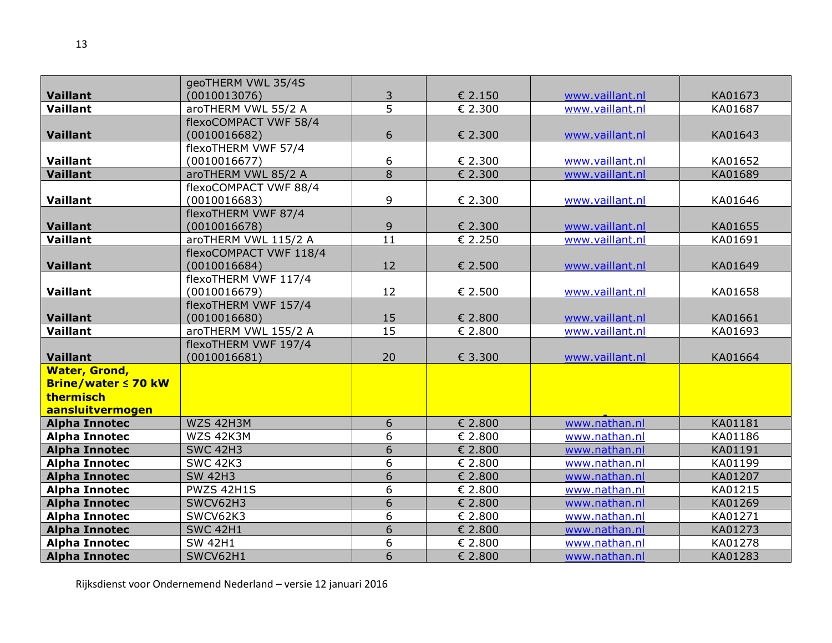|                                              | geoTHERM VWL 35/4S     |                 |         |                 |         |
|----------------------------------------------|------------------------|-----------------|---------|-----------------|---------|
| <b>Vaillant</b>                              | (0010013076)           | 3               | € 2.150 | www.vaillant.nl | KA01673 |
| <b>Vaillant</b>                              | aroTHERM VWL 55/2 A    | $\overline{5}$  | € 2.300 | www.vaillant.nl | KA01687 |
|                                              | flexoCOMPACT VWF 58/4  |                 |         |                 |         |
| <b>Vaillant</b>                              | (0010016682)           | 6               | € 2.300 | www.vaillant.nl | KA01643 |
|                                              | flexoTHERM VWF 57/4    |                 |         |                 |         |
| Vaillant                                     | (0010016677)           | 6               | € 2.300 | www.vaillant.nl | KA01652 |
| <b>Vaillant</b>                              | aroTHERM VWL 85/2 A    | $\overline{8}$  | € 2.300 | www.vaillant.nl | KA01689 |
|                                              | flexoCOMPACT VWF 88/4  |                 |         |                 |         |
| Vaillant                                     | (0010016683)           | 9               | € 2.300 | www.vaillant.nl | KA01646 |
|                                              | flexoTHERM VWF 87/4    |                 |         |                 |         |
| <b>Vaillant</b>                              | (0010016678)           | 9               | € 2.300 | www.vaillant.nl | KA01655 |
| <b>Vaillant</b>                              | aroTHERM VWL 115/2 A   | 11              | € 2.250 | www.vaillant.nl | KA01691 |
|                                              | flexoCOMPACT VWF 118/4 |                 |         |                 |         |
| <b>Vaillant</b>                              | (0010016684)           | 12              | € 2.500 | www.vaillant.nl | KA01649 |
|                                              | flexoTHERM VWF 117/4   |                 |         |                 |         |
| Vaillant                                     | (0010016679)           | 12              | € 2.500 | www.vaillant.nl | KA01658 |
|                                              | flexoTHERM VWF 157/4   |                 |         |                 |         |
| <b>Vaillant</b>                              | (0010016680)           | 15              | € 2.800 | www.vaillant.nl | KA01661 |
| Vaillant                                     | aroTHERM VWL 155/2 A   | $\overline{15}$ | € 2.800 | www.vaillant.nl | KA01693 |
|                                              | flexoTHERM VWF 197/4   |                 |         |                 |         |
| <b>Vaillant</b>                              | (0010016681)           | 20              | € 3.300 | www.vaillant.nl | KA01664 |
| <b>Water, Grond,</b>                         |                        |                 |         |                 |         |
| <b>Brine/water ≤ 70 kW</b>                   |                        |                 |         |                 |         |
| thermisch                                    |                        |                 |         |                 |         |
| aansluitvermogen                             | WZS 42H3M              | 6               | € 2.800 | www.nathan.nl   | KA01181 |
| <b>Alpha Innotec</b><br><b>Alpha Innotec</b> | WZS 42K3M              | 6               | € 2.800 | www.nathan.nl   | KA01186 |
| <b>Alpha Innotec</b>                         | <b>SWC 42H3</b>        | 6               | € 2.800 | www.nathan.nl   | KA01191 |
| <b>Alpha Innotec</b>                         | <b>SWC 42K3</b>        | 6               | € 2.800 | www.nathan.nl   | KA01199 |
| <b>Alpha Innotec</b>                         | <b>SW 42H3</b>         | $\overline{6}$  | € 2.800 | www.nathan.nl   | KA01207 |
| <b>Alpha Innotec</b>                         | PWZS 42H1S             | 6               | € 2.800 | www.nathan.nl   | KA01215 |
| <b>Alpha Innotec</b>                         | SWCV62H3               | $\overline{6}$  | € 2.800 | www.nathan.nl   | KA01269 |
| <b>Alpha Innotec</b>                         | SWCV62K3               | $\overline{6}$  | € 2.800 | www.nathan.nl   | KA01271 |
| <b>Alpha Innotec</b>                         | <b>SWC 42H1</b>        | $\overline{6}$  | € 2.800 | www.nathan.nl   | KA01273 |
| <b>Alpha Innotec</b>                         | <b>SW 42H1</b>         | 6               | € 2.800 | www.nathan.nl   | KA01278 |
| <b>Alpha Innotec</b>                         | SWCV62H1               | 6               | € 2.800 | www.nathan.nl   | KA01283 |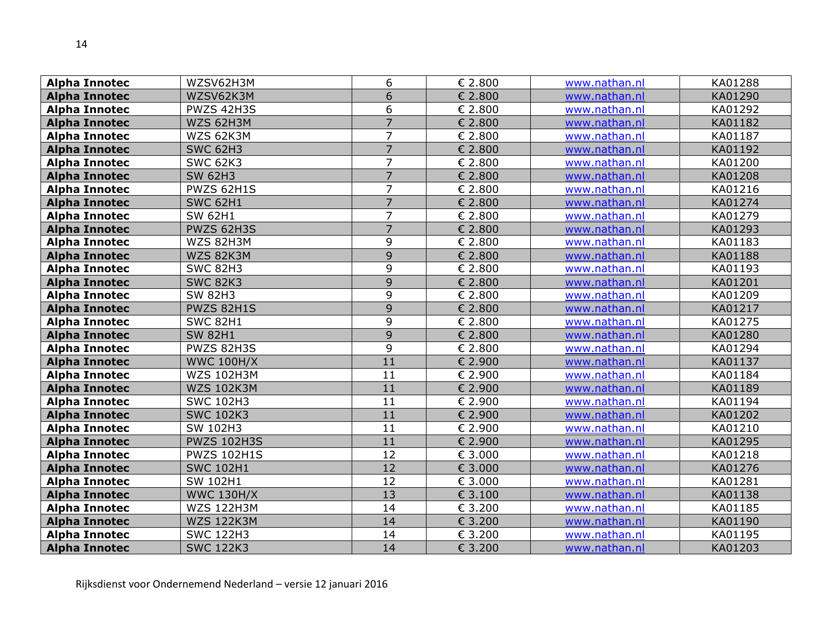| <b>Alpha Innotec</b> | WZSV62H3M          | 6              | € 2.800 | www.nathan.nl | KA01288 |
|----------------------|--------------------|----------------|---------|---------------|---------|
| <b>Alpha Innotec</b> | WZSV62K3M          | 6              | € 2.800 | www.nathan.nl | KA01290 |
| <b>Alpha Innotec</b> | PWZS 42H3S         | 6              | € 2.800 | www.nathan.nl | KA01292 |
| <b>Alpha Innotec</b> | WZS 62H3M          | $\overline{7}$ | € 2.800 | www.nathan.nl | KA01182 |
| <b>Alpha Innotec</b> | WZS 62K3M          | 7              | € 2.800 | www.nathan.nl | KA01187 |
| <b>Alpha Innotec</b> | <b>SWC 62H3</b>    | $\overline{7}$ | € 2.800 | www.nathan.nl | KA01192 |
| <b>Alpha Innotec</b> | <b>SWC 62K3</b>    | 7              | € 2.800 | www.nathan.nl | KA01200 |
| <b>Alpha Innotec</b> | <b>SW 62H3</b>     | $\overline{7}$ | € 2.800 | www.nathan.nl | KA01208 |
| <b>Alpha Innotec</b> | PWZS 62H1S         | 7              | € 2.800 | www.nathan.nl | KA01216 |
| <b>Alpha Innotec</b> | <b>SWC 62H1</b>    | $\overline{7}$ | € 2.800 | www.nathan.nl | KA01274 |
| <b>Alpha Innotec</b> | <b>SW 62H1</b>     | $\overline{7}$ | € 2.800 | www.nathan.nl | KA01279 |
| <b>Alpha Innotec</b> | PWZS 62H3S         | $\overline{7}$ | € 2.800 | www.nathan.nl | KA01293 |
| <b>Alpha Innotec</b> | WZS 82H3M          | 9              | € 2.800 | www.nathan.nl | KA01183 |
| <b>Alpha Innotec</b> | WZS 82K3M          | 9              | € 2.800 | www.nathan.nl | KA01188 |
| <b>Alpha Innotec</b> | <b>SWC 82H3</b>    | 9              | € 2.800 | www.nathan.nl | KA01193 |
| <b>Alpha Innotec</b> | <b>SWC 82K3</b>    | 9              | € 2.800 | www.nathan.nl | KA01201 |
| <b>Alpha Innotec</b> | <b>SW 82H3</b>     | 9              | € 2.800 | www.nathan.nl | KA01209 |
| <b>Alpha Innotec</b> | <b>PWZS 82H1S</b>  | 9              | € 2.800 | www.nathan.nl | KA01217 |
| <b>Alpha Innotec</b> | <b>SWC 82H1</b>    | 9              | € 2.800 | www.nathan.nl | KA01275 |
| <b>Alpha Innotec</b> | <b>SW 82H1</b>     | 9              | € 2.800 | www.nathan.nl | KA01280 |
| <b>Alpha Innotec</b> | PWZS 82H3S         | 9              | € 2.800 | www.nathan.nl | KA01294 |
| <b>Alpha Innotec</b> | <b>WWC 100H/X</b>  | 11             | € 2.900 | www.nathan.nl | KA01137 |
| <b>Alpha Innotec</b> | <b>WZS 102H3M</b>  | 11             | € 2.900 | www.nathan.nl | KA01184 |
| <b>Alpha Innotec</b> | <b>WZS 102K3M</b>  | 11             | € 2.900 | www.nathan.nl | KA01189 |
| <b>Alpha Innotec</b> | <b>SWC 102H3</b>   | 11             | € 2.900 | www.nathan.nl | KA01194 |
| <b>Alpha Innotec</b> | <b>SWC 102K3</b>   | 11             | € 2.900 | www.nathan.nl | KA01202 |
| <b>Alpha Innotec</b> | SW 102H3           | 11             | € 2.900 | www.nathan.nl | KA01210 |
| <b>Alpha Innotec</b> | <b>PWZS 102H3S</b> | 11             | € 2.900 | www.nathan.nl | KA01295 |
| <b>Alpha Innotec</b> | <b>PWZS 102H1S</b> | 12             | € 3.000 | www.nathan.nl | KA01218 |
| <b>Alpha Innotec</b> | <b>SWC 102H1</b>   | 12             | € 3.000 | www.nathan.nl | KA01276 |
| <b>Alpha Innotec</b> | SW 102H1           | 12             | € 3.000 | www.nathan.nl | KA01281 |
| <b>Alpha Innotec</b> | <b>WWC 130H/X</b>  | 13             | € 3.100 | www.nathan.nl | KA01138 |
| <b>Alpha Innotec</b> | <b>WZS 122H3M</b>  | 14             | € 3.200 | www.nathan.nl | KA01185 |
| <b>Alpha Innotec</b> | <b>WZS 122K3M</b>  | 14             | € 3.200 | www.nathan.nl | KA01190 |
| <b>Alpha Innotec</b> | <b>SWC 122H3</b>   | 14             | € 3.200 | www.nathan.nl | KA01195 |
| <b>Alpha Innotec</b> | <b>SWC 122K3</b>   | 14             | € 3.200 | www.nathan.nl | KA01203 |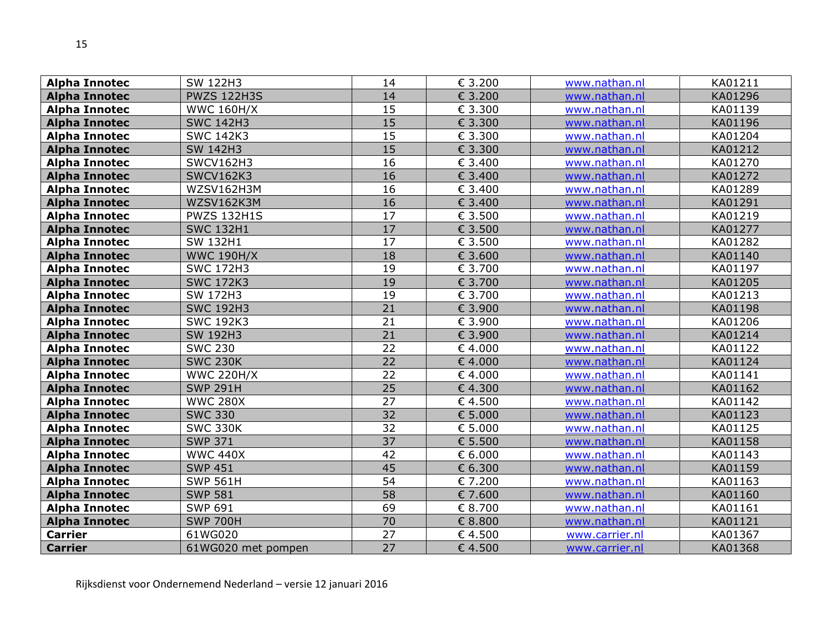| <b>Alpha Innotec</b> | SW 122H3           | 14              | € 3.200 | www.nathan.nl  | KA01211 |
|----------------------|--------------------|-----------------|---------|----------------|---------|
| <b>Alpha Innotec</b> | <b>PWZS 122H3S</b> | 14              | € 3.200 | www.nathan.nl  | KA01296 |
| <b>Alpha Innotec</b> | <b>WWC 160H/X</b>  | 15              | € 3.300 | www.nathan.nl  | KA01139 |
| <b>Alpha Innotec</b> | <b>SWC 142H3</b>   | $\overline{15}$ | € 3.300 | www.nathan.nl  | KA01196 |
| <b>Alpha Innotec</b> | <b>SWC 142K3</b>   | 15              | € 3.300 | www.nathan.nl  | KA01204 |
| <b>Alpha Innotec</b> | SW 142H3           | 15              | € 3.300 | www.nathan.nl  | KA01212 |
| <b>Alpha Innotec</b> | SWCV162H3          | 16              | € 3.400 | www.nathan.nl  | KA01270 |
| <b>Alpha Innotec</b> | <b>SWCV162K3</b>   | 16              | € 3.400 | www.nathan.nl  | KA01272 |
| <b>Alpha Innotec</b> | WZSV162H3M         | 16              | € 3.400 | www.nathan.nl  | KA01289 |
| <b>Alpha Innotec</b> | WZSV162K3M         | 16              | € 3.400 | www.nathan.nl  | KA01291 |
| <b>Alpha Innotec</b> | <b>PWZS 132H1S</b> | 17              | € 3.500 | www.nathan.nl  | KA01219 |
| <b>Alpha Innotec</b> | <b>SWC 132H1</b>   | 17              | € 3.500 | www.nathan.nl  | KA01277 |
| <b>Alpha Innotec</b> | SW 132H1           | 17              | € 3.500 | www.nathan.nl  | KA01282 |
| <b>Alpha Innotec</b> | <b>WWC 190H/X</b>  | 18              | € 3.600 | www.nathan.nl  | KA01140 |
| <b>Alpha Innotec</b> | <b>SWC 172H3</b>   | 19              | € 3.700 | www.nathan.nl  | KA01197 |
| <b>Alpha Innotec</b> | <b>SWC 172K3</b>   | 19              | € 3.700 | www.nathan.nl  | KA01205 |
| <b>Alpha Innotec</b> | SW 172H3           | 19              | € 3.700 | www.nathan.nl  | KA01213 |
| <b>Alpha Innotec</b> | <b>SWC 192H3</b>   | 21              | € 3.900 | www.nathan.nl  | KA01198 |
| <b>Alpha Innotec</b> | <b>SWC 192K3</b>   | 21              | € 3.900 | www.nathan.nl  | KA01206 |
| <b>Alpha Innotec</b> | SW 192H3           | 21              | € 3.900 | www.nathan.nl  | KA01214 |
| <b>Alpha Innotec</b> | <b>SWC 230</b>     | 22              | €4.000  | www.nathan.nl  | KA01122 |
| <b>Alpha Innotec</b> | <b>SWC 230K</b>    | 22              | €4.000  | www.nathan.nl  | KA01124 |
| <b>Alpha Innotec</b> | <b>WWC 220H/X</b>  | 22              | €4.000  | www.nathan.nl  | KA01141 |
| <b>Alpha Innotec</b> | <b>SWP 291H</b>    | $\overline{25}$ | €4.300  | www.nathan.nl  | KA01162 |
| <b>Alpha Innotec</b> | <b>WWC 280X</b>    | $\overline{27}$ | €4.500  | www.nathan.nl  | KA01142 |
| <b>Alpha Innotec</b> | <b>SWC 330</b>     | 32              | € 5.000 | www.nathan.nl  | KA01123 |
| <b>Alpha Innotec</b> | <b>SWC 330K</b>    | 32              | € 5.000 | www.nathan.nl  | KA01125 |
| <b>Alpha Innotec</b> | <b>SWP 371</b>     | $\overline{37}$ | € 5.500 | www.nathan.nl  | KA01158 |
| <b>Alpha Innotec</b> | <b>WWC 440X</b>    | 42              | € 6.000 | www.nathan.nl  | KA01143 |
| <b>Alpha Innotec</b> | <b>SWP 451</b>     | 45              | € 6.300 | www.nathan.nl  | KA01159 |
| <b>Alpha Innotec</b> | <b>SWP 561H</b>    | 54              | € 7.200 | www.nathan.nl  | KA01163 |
| <b>Alpha Innotec</b> | <b>SWP 581</b>     | 58              | € 7.600 | www.nathan.nl  | KA01160 |
| <b>Alpha Innotec</b> | <b>SWP 691</b>     | 69              | € 8.700 | www.nathan.nl  | KA01161 |
| <b>Alpha Innotec</b> | <b>SWP 700H</b>    | 70              | € 8.800 | www.nathan.nl  | KA01121 |
| <b>Carrier</b>       | 61WG020            | 27              | € 4.500 | www.carrier.nl | KA01367 |
| <b>Carrier</b>       | 61WG020 met pompen | 27              | €4.500  | www.carrier.nl | KA01368 |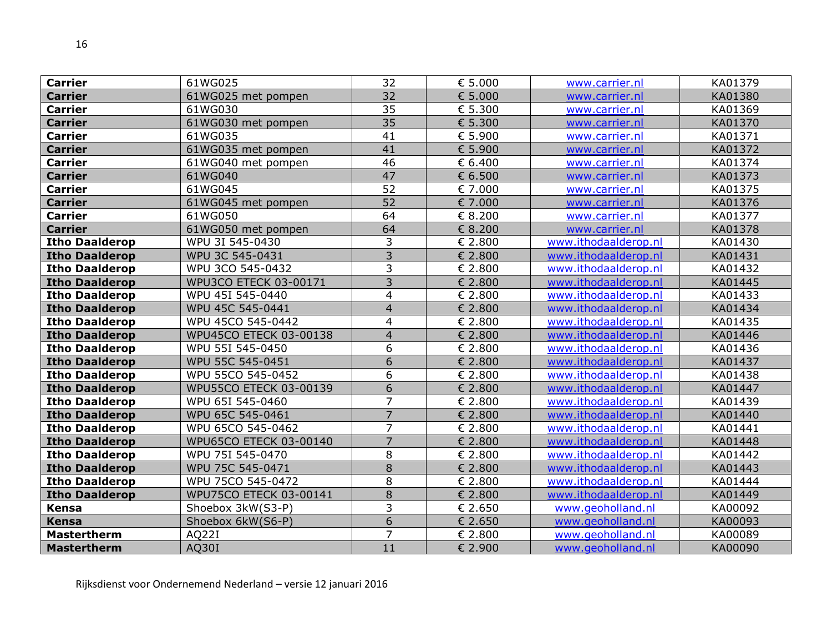| <b>Carrier</b>        | 61WG025                | 32                       | € 5.000          | www.carrier.nl       | KA01379 |
|-----------------------|------------------------|--------------------------|------------------|----------------------|---------|
| <b>Carrier</b>        | 61WG025 met pompen     | 32                       | € 5.000          | www.carrier.nl       | KA01380 |
| <b>Carrier</b>        | 61WG030                | 35                       | € 5.300          | www.carrier.nl       | KA01369 |
| <b>Carrier</b>        | 61WG030 met pompen     | 35                       | € 5.300          | www.carrier.nl       | KA01370 |
| <b>Carrier</b>        | 61WG035                | 41                       | € 5.900          | www.carrier.nl       | KA01371 |
| <b>Carrier</b>        | 61WG035 met pompen     | 41                       | € 5.900          | www.carrier.nl       | KA01372 |
| <b>Carrier</b>        | 61WG040 met pompen     | 46                       | € 6.400          | www.carrier.nl       | KA01374 |
| <b>Carrier</b>        | 61WG040                | 47                       | $\epsilon$ 6.500 | www.carrier.nl       | KA01373 |
| <b>Carrier</b>        | 61WG045                | 52                       | € 7.000          | www.carrier.nl       | KA01375 |
| <b>Carrier</b>        | 61WG045 met pompen     | 52                       | € 7.000          | www.carrier.nl       | KA01376 |
| <b>Carrier</b>        | 61WG050                | 64                       | € 8.200          | www.carrier.nl       | KA01377 |
| <b>Carrier</b>        | 61WG050 met pompen     | 64                       | € 8.200          | www.carrier.nl       | KA01378 |
| <b>Itho Daalderop</b> | WPU 3I 545-0430        | 3                        | € 2.800          | www.ithodaalderop.nl | KA01430 |
| <b>Itho Daalderop</b> | WPU 3C 545-0431        | 3                        | € 2.800          | www.ithodaalderop.nl | KA01431 |
| <b>Itho Daalderop</b> | WPU 3CO 545-0432       | 3                        | € 2.800          | www.ithodaalderop.nl | KA01432 |
| <b>Itho Daalderop</b> | WPU3CO ETECK 03-00171  | $\overline{3}$           | € 2.800          | www.ithodaalderop.nl | KA01445 |
| <b>Itho Daalderop</b> | WPU 45I 545-0440       | $\overline{4}$           | € 2.800          | www.ithodaalderop.nl | KA01433 |
| <b>Itho Daalderop</b> | WPU 45C 545-0441       | $\overline{4}$           | € 2.800          | www.ithodaalderop.nl | KA01434 |
| <b>Itho Daalderop</b> | WPU 45CO 545-0442      | 4                        | € 2.800          | www.ithodaalderop.nl | KA01435 |
| <b>Itho Daalderop</b> | WPU45CO ETECK 03-00138 | $\overline{\mathcal{L}}$ | € 2.800          | www.ithodaalderop.nl | KA01446 |
| <b>Itho Daalderop</b> | WPU 55I 545-0450       | 6                        | € 2.800          | www.ithodaalderop.nl | KA01436 |
| <b>Itho Daalderop</b> | WPU 55C 545-0451       | 6                        | € 2.800          | www.ithodaalderop.nl | KA01437 |
| <b>Itho Daalderop</b> | WPU 55CO 545-0452      | 6                        | € 2.800          | www.ithodaalderop.nl | KA01438 |
| <b>Itho Daalderop</b> | WPU55CO ETECK 03-00139 | 6                        | € 2.800          | www.ithodaalderop.nl | KA01447 |
| <b>Itho Daalderop</b> | WPU 65I 545-0460       | 7                        | € 2.800          | www.ithodaalderop.nl | KA01439 |
| <b>Itho Daalderop</b> | WPU 65C 545-0461       | $\overline{7}$           | € 2.800          | www.ithodaalderop.nl | KA01440 |
| <b>Itho Daalderop</b> | WPU 65CO 545-0462      | $\overline{7}$           | € 2.800          | www.ithodaalderop.nl | KA01441 |
| <b>Itho Daalderop</b> | WPU65CO ETECK 03-00140 | $\overline{7}$           | € 2.800          | www.ithodaalderop.nl | KA01448 |
| <b>Itho Daalderop</b> | WPU 75I 545-0470       | 8                        | € 2.800          | www.ithodaalderop.nl | KA01442 |
| <b>Itho Daalderop</b> | WPU 75C 545-0471       | 8                        | € 2.800          | www.ithodaalderop.nl | KA01443 |
| <b>Itho Daalderop</b> | WPU 75CO 545-0472      | 8                        | € 2.800          | www.ithodaalderop.nl | KA01444 |
| <b>Itho Daalderop</b> | WPU75CO ETECK 03-00141 | $\,8\,$                  | € 2.800          | www.ithodaalderop.nl | KA01449 |
| Kensa                 | Shoebox 3kW(S3-P)      | 3                        | € 2.650          | www.geoholland.nl    | KA00092 |
| Kensa                 | Shoebox 6kW(S6-P)      | 6                        | € 2.650          | www.geoholland.nl    | KA00093 |
| <b>Mastertherm</b>    | AQ22I                  | $\overline{7}$           | € 2.800          | www.geoholland.nl    | KA00089 |
| <b>Mastertherm</b>    | AQ30I                  | 11                       | € 2.900          | www.geoholland.nl    | KA00090 |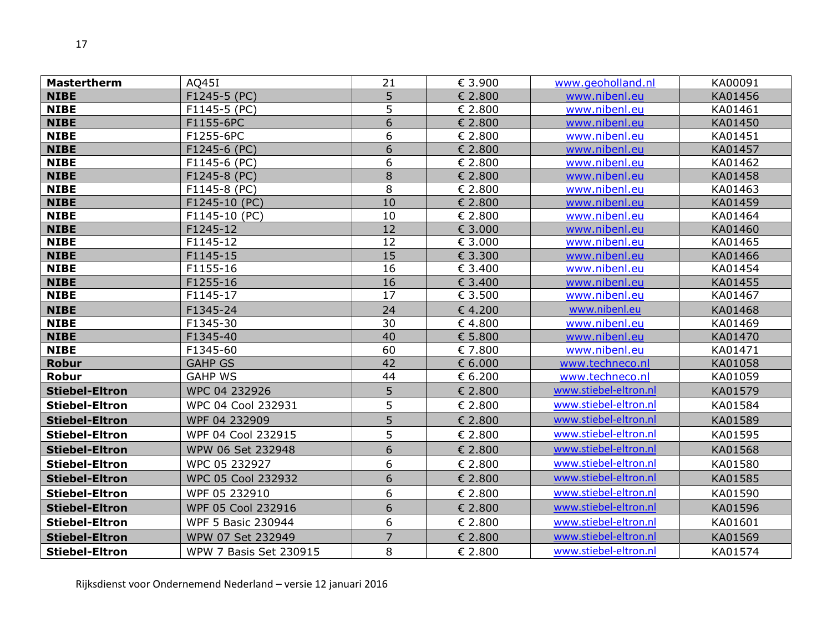| <b>Mastertherm</b>    | AQ45I                  | 21             | € 3.900                     | www.geoholland.nl     | KA00091 |
|-----------------------|------------------------|----------------|-----------------------------|-----------------------|---------|
| <b>NIBE</b>           | F1245-5 (PC)           | 5              | € 2.800                     | www.nibenl.eu         | KA01456 |
| <b>NIBE</b>           | F1145-5 (PC)           | 5              | € 2.800                     | www.nibenl.eu         | KA01461 |
| <b>NIBE</b>           | F1155-6PC              | 6              | € 2.800                     | www.nibenl.eu         | KA01450 |
| <b>NIBE</b>           | F1255-6PC              | 6              | € 2.800                     | www.nibenl.eu         | KA01451 |
| <b>NIBE</b>           | F1245-6 (PC)           | 6              | € 2.800                     | www.nibenl.eu         | KA01457 |
| <b>NIBE</b>           | F1145-6 (PC)           | 6              | € 2.800                     | www.nibenl.eu         | KA01462 |
| <b>NIBE</b>           | F1245-8 (PC)           | 8              | € 2.800                     | www.nibenl.eu         | KA01458 |
| <b>NIBE</b>           | F1145-8 (PC)           | 8              | € 2.800                     | www.nibenl.eu         | KA01463 |
| <b>NIBE</b>           | F1245-10 (PC)          | 10             | € 2.800                     | www.nibenl.eu         | KA01459 |
| <b>NIBE</b>           | F1145-10 (PC)          | 10             | € 2.800                     | www.nibenl.eu         | KA01464 |
| <b>NIBE</b>           | F1245-12               | 12             | € 3.000                     | www.nibenl.eu         | KA01460 |
| <b>NIBE</b>           | F1145-12               | 12             | € 3.000                     | www.nibenl.eu         | KA01465 |
| <b>NIBE</b>           | F1145-15               | 15             | € 3.300                     | www.nibenl.eu         | KA01466 |
| <b>NIBE</b>           | F1155-16               | 16             | € 3.400                     | www.nibenl.eu         | KA01454 |
| <b>NIBE</b>           | F1255-16               | 16             | € 3.400                     | www.nibenl.eu         | KA01455 |
| <b>NIBE</b>           | F1145-17               | 17             | $\overline{\epsilon}$ 3.500 | www.nibenl.eu         | KA01467 |
| <b>NIBE</b>           | F1345-24               | 24             | € 4.200                     | www.nibenl.eu         | KA01468 |
| <b>NIBE</b>           | F1345-30               | 30             | €4.800                      | www.nibenl.eu         | KA01469 |
| <b>NIBE</b>           | F1345-40               | 40             | € 5.800                     | www.nibenl.eu         | KA01470 |
| <b>NIBE</b>           | F1345-60               | 60             | € 7.800                     | www.nibenl.eu         | KA01471 |
| <b>Robur</b>          | <b>GAHP GS</b>         | 42             | € 6.000                     | www.techneco.nl       | KA01058 |
| Robur                 | <b>GAHP WS</b>         | 44             | € 6.200                     | www.techneco.nl       | KA01059 |
| <b>Stiebel-Eltron</b> | WPC 04 232926          | 5              | € 2.800                     | www.stiebel-eltron.nl | KA01579 |
| <b>Stiebel-Eltron</b> | WPC 04 Cool 232931     | 5              | € 2.800                     | www.stiebel-eltron.nl | KA01584 |
| <b>Stiebel-Eltron</b> | WPF 04 232909          | 5              | € 2.800                     | www.stiebel-eltron.nl | KA01589 |
| <b>Stiebel-Eltron</b> | WPF 04 Cool 232915     | 5              | € 2.800                     | www.stiebel-eltron.nl | KA01595 |
| <b>Stiebel-Eltron</b> | WPW 06 Set 232948      | 6              | € 2.800                     | www.stiebel-eltron.nl | KA01568 |
| <b>Stiebel-Eltron</b> | WPC 05 232927          | 6              | € 2.800                     | www.stiebel-eltron.nl | KA01580 |
| <b>Stiebel-Eltron</b> | WPC 05 Cool 232932     | 6              | € 2.800                     | www.stiebel-eltron.nl | KA01585 |
| <b>Stiebel-Eltron</b> | WPF 05 232910          | 6              | € 2.800                     | www.stiebel-eltron.nl | KA01590 |
| <b>Stiebel-Eltron</b> | WPF 05 Cool 232916     | 6              | € 2.800                     | www.stiebel-eltron.nl | KA01596 |
| <b>Stiebel-Eltron</b> | WPF 5 Basic 230944     | 6              | € 2.800                     | www.stiebel-eltron.nl | KA01601 |
| <b>Stiebel-Eltron</b> | WPW 07 Set 232949      | $\overline{7}$ | € 2.800                     | www.stiebel-eltron.nl | KA01569 |
| <b>Stiebel-Eltron</b> | WPW 7 Basis Set 230915 | 8              | € 2.800                     | www.stiebel-eltron.nl | KA01574 |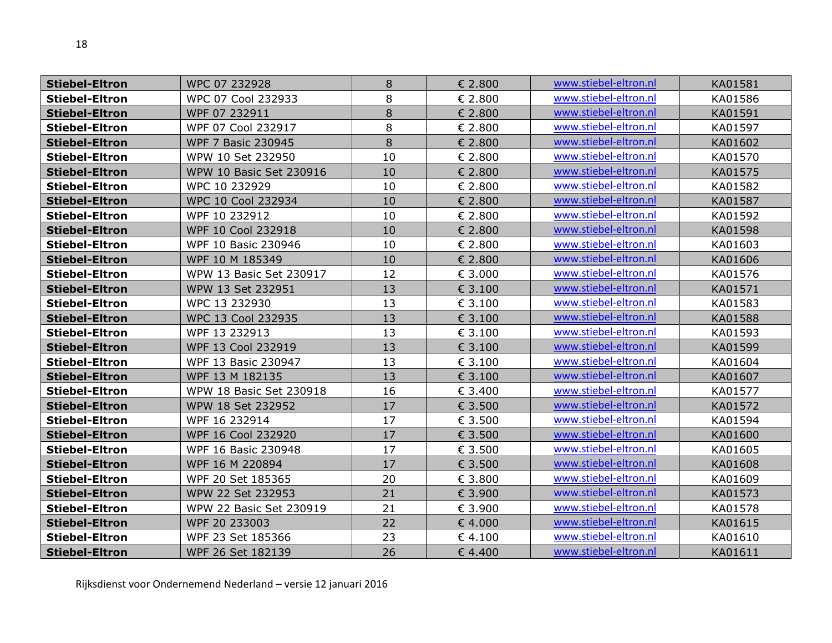| <b>Stiebel-Eltron</b> | WPC 07 232928                  | 8  | € 2.800 | www.stiebel-eltron.nl | KA01581 |
|-----------------------|--------------------------------|----|---------|-----------------------|---------|
| <b>Stiebel-Eltron</b> | WPC 07 Cool 232933             | 8  | € 2.800 | www.stiebel-eltron.nl | KA01586 |
| <b>Stiebel-Eltron</b> | WPF 07 232911                  | 8  | € 2.800 | www.stiebel-eltron.nl | KA01591 |
| <b>Stiebel-Eltron</b> | WPF 07 Cool 232917             | 8  | € 2.800 | www.stiebel-eltron.nl | KA01597 |
| <b>Stiebel-Eltron</b> | WPF 7 Basic 230945             | 8  | € 2.800 | www.stiebel-eltron.nl | KA01602 |
| <b>Stiebel-Eltron</b> | WPW 10 Set 232950              | 10 | € 2.800 | www.stiebel-eltron.nl | KA01570 |
| <b>Stiebel-Eltron</b> | <b>WPW 10 Basic Set 230916</b> | 10 | € 2.800 | www.stiebel-eltron.nl | KA01575 |
| <b>Stiebel-Eltron</b> | WPC 10 232929                  | 10 | € 2.800 | www.stiebel-eltron.nl | KA01582 |
| <b>Stiebel-Eltron</b> | WPC 10 Cool 232934             | 10 | € 2.800 | www.stiebel-eltron.nl | KA01587 |
| <b>Stiebel-Eltron</b> | WPF 10 232912                  | 10 | € 2.800 | www.stiebel-eltron.nl | KA01592 |
| <b>Stiebel-Eltron</b> | WPF 10 Cool 232918             | 10 | € 2.800 | www.stiebel-eltron.nl | KA01598 |
| <b>Stiebel-Eltron</b> | WPF 10 Basic 230946            | 10 | € 2.800 | www.stiebel-eltron.nl | KA01603 |
| <b>Stiebel-Eltron</b> | WPF 10 M 185349                | 10 | € 2.800 | www.stiebel-eltron.nl | KA01606 |
| <b>Stiebel-Eltron</b> | WPW 13 Basic Set 230917        | 12 | € 3.000 | www.stiebel-eltron.nl | KA01576 |
| <b>Stiebel-Eltron</b> | WPW 13 Set 232951              | 13 | € 3.100 | www.stiebel-eltron.nl | KA01571 |
| <b>Stiebel-Eltron</b> | WPC 13 232930                  | 13 | € 3.100 | www.stiebel-eltron.nl | KA01583 |
| <b>Stiebel-Eltron</b> | WPC 13 Cool 232935             | 13 | € 3.100 | www.stiebel-eltron.nl | KA01588 |
| <b>Stiebel-Eltron</b> | WPF 13 232913                  | 13 | € 3.100 | www.stiebel-eltron.nl | KA01593 |
| <b>Stiebel-Eltron</b> | WPF 13 Cool 232919             | 13 | € 3.100 | www.stiebel-eltron.nl | KA01599 |
| <b>Stiebel-Eltron</b> | WPF 13 Basic 230947            | 13 | € 3.100 | www.stiebel-eltron.nl | KA01604 |
| <b>Stiebel-Eltron</b> | WPF 13 M 182135                | 13 | € 3.100 | www.stiebel-eltron.nl | KA01607 |
| <b>Stiebel-Eltron</b> | WPW 18 Basic Set 230918        | 16 | € 3.400 | www.stiebel-eltron.nl | KA01577 |
| <b>Stiebel-Eltron</b> | WPW 18 Set 232952              | 17 | € 3.500 | www.stiebel-eltron.nl | KA01572 |
| <b>Stiebel-Eltron</b> | WPF 16 232914                  | 17 | € 3.500 | www.stiebel-eltron.nl | KA01594 |
| <b>Stiebel-Eltron</b> | WPF 16 Cool 232920             | 17 | € 3.500 | www.stiebel-eltron.nl | KA01600 |
| <b>Stiebel-Eltron</b> | WPF 16 Basic 230948            | 17 | € 3.500 | www.stiebel-eltron.nl | KA01605 |
| <b>Stiebel-Eltron</b> | WPF 16 M 220894                | 17 | € 3.500 | www.stiebel-eltron.nl | KA01608 |
| <b>Stiebel-Eltron</b> | WPF 20 Set 185365              | 20 | € 3.800 | www.stiebel-eltron.nl | KA01609 |
| <b>Stiebel-Eltron</b> | WPW 22 Set 232953              | 21 | € 3.900 | www.stiebel-eltron.nl | KA01573 |
| <b>Stiebel-Eltron</b> | WPW 22 Basic Set 230919        | 21 | € 3.900 | www.stiebel-eltron.nl | KA01578 |
| <b>Stiebel-Eltron</b> | WPF 20 233003                  | 22 | €4.000  | www.stiebel-eltron.nl | KA01615 |
| <b>Stiebel-Eltron</b> | WPF 23 Set 185366              | 23 | € 4.100 | www.stiebel-eltron.nl | KA01610 |
| <b>Stiebel-Eltron</b> | WPF 26 Set 182139              | 26 | €4.400  | www.stiebel-eltron.nl | KA01611 |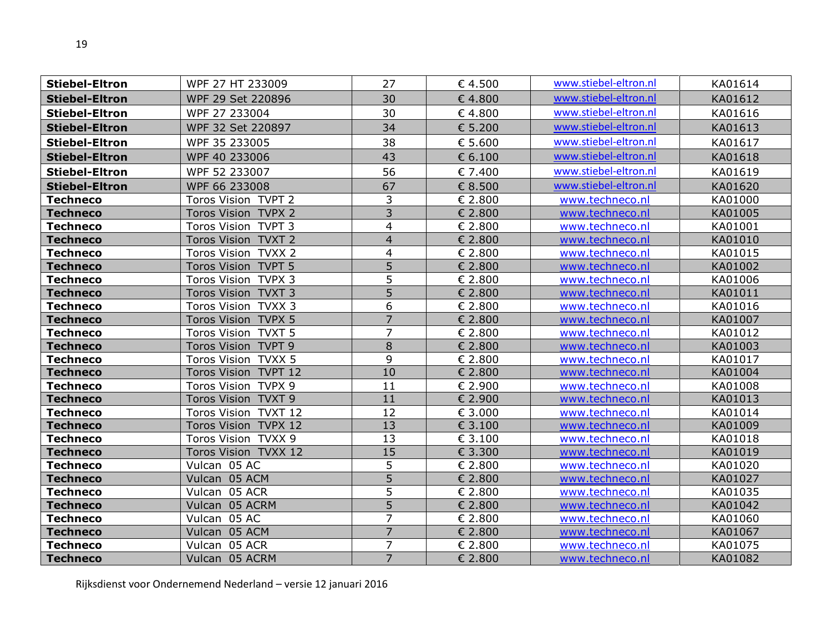| <b>Stiebel-Eltron</b> | WPF 27 HT 233009     | 27             | € 4.500 | www.stiebel-eltron.nl | KA01614 |
|-----------------------|----------------------|----------------|---------|-----------------------|---------|
| <b>Stiebel-Eltron</b> | WPF 29 Set 220896    | 30             | €4.800  | www.stiebel-eltron.nl | KA01612 |
| <b>Stiebel-Eltron</b> | WPF 27 233004        | 30             | €4.800  | www.stiebel-eltron.nl | KA01616 |
| <b>Stiebel-Eltron</b> | WPF 32 Set 220897    | 34             | € 5.200 | www.stiebel-eltron.nl | KA01613 |
| <b>Stiebel-Eltron</b> | WPF 35 233005        | 38             | € 5.600 | www.stiebel-eltron.nl | KA01617 |
| <b>Stiebel-Eltron</b> | WPF 40 233006        | 43             | € 6.100 | www.stiebel-eltron.nl | KA01618 |
| <b>Stiebel-Eltron</b> | WPF 52 233007        | 56             | € 7.400 | www.stiebel-eltron.nl | KA01619 |
| <b>Stiebel-Eltron</b> | WPF 66 233008        | 67             | € 8.500 | www.stiebel-eltron.nl | KA01620 |
| <b>Techneco</b>       | Toros Vision TVPT 2  | 3              | € 2.800 | www.techneco.nl       | KA01000 |
| <b>Techneco</b>       | Toros Vision TVPX 2  | $\overline{3}$ | € 2.800 | www.techneco.nl       | KA01005 |
| <b>Techneco</b>       | Toros Vision TVPT 3  | 4              | € 2.800 | www.techneco.nl       | KA01001 |
| <b>Techneco</b>       | Toros Vision TVXT 2  | $\overline{4}$ | € 2.800 | www.techneco.nl       | KA01010 |
| <b>Techneco</b>       | Toros Vision TVXX 2  | 4              | € 2.800 | www.techneco.nl       | KA01015 |
| <b>Techneco</b>       | Toros Vision TVPT 5  | $\overline{5}$ | € 2.800 | www.techneco.nl       | KA01002 |
| <b>Techneco</b>       | Toros Vision TVPX 3  | 5              | € 2.800 | www.techneco.nl       | KA01006 |
| <b>Techneco</b>       | Toros Vision TVXT 3  | 5              | € 2.800 | www.techneco.nl       | KA01011 |
| <b>Techneco</b>       | Toros Vision TVXX 3  | 6              | € 2.800 | www.techneco.nl       | KA01016 |
| <b>Techneco</b>       | Toros Vision TVPX 5  | $\overline{7}$ | € 2.800 | www.techneco.nl       | KA01007 |
| <b>Techneco</b>       | Toros Vision TVXT 5  | $\overline{7}$ | € 2.800 | www.techneco.nl       | KA01012 |
| <b>Techneco</b>       | Toros Vision TVPT 9  | $\,8\,$        | € 2.800 | www.techneco.nl       | KA01003 |
| <b>Techneco</b>       | Toros Vision TVXX 5  | 9              | € 2.800 | www.techneco.nl       | KA01017 |
| <b>Techneco</b>       | Toros Vision TVPT 12 | 10             | € 2.800 | www.techneco.nl       | KA01004 |
| <b>Techneco</b>       | Toros Vision TVPX 9  | 11             | € 2.900 | www.techneco.nl       | KA01008 |
| <b>Techneco</b>       | Toros Vision TVXT 9  | 11             | € 2.900 | www.techneco.nl       | KA01013 |
| <b>Techneco</b>       | Toros Vision TVXT 12 | 12             | € 3.000 | www.techneco.nl       | KA01014 |
| <b>Techneco</b>       | Toros Vision TVPX 12 | 13             | € 3.100 | www.techneco.nl       | KA01009 |
| <b>Techneco</b>       | Toros Vision TVXX 9  | 13             | € 3.100 | www.techneco.nl       | KA01018 |
| <b>Techneco</b>       | Toros Vision TVXX 12 | 15             | € 3.300 | www.techneco.nl       | KA01019 |
| <b>Techneco</b>       | Vulcan 05 AC         | 5              | € 2.800 | www.techneco.nl       | KA01020 |
| <b>Techneco</b>       | Vulcan 05 ACM        | $\overline{5}$ | € 2.800 | www.techneco.nl       | KA01027 |
| <b>Techneco</b>       | Vulcan 05 ACR        | 5              | € 2.800 | www.techneco.nl       | KA01035 |
| <b>Techneco</b>       | Vulcan 05 ACRM       | $\overline{5}$ | € 2.800 | www.techneco.nl       | KA01042 |
| <b>Techneco</b>       | Vulcan 05 AC         | 7              | € 2.800 | www.techneco.nl       | KA01060 |
| <b>Techneco</b>       | Vulcan 05 ACM        | $\overline{7}$ | € 2.800 | www.techneco.nl       | KA01067 |
| <b>Techneco</b>       | Vulcan 05 ACR        | 7              | € 2.800 | www.techneco.nl       | KA01075 |
| <b>Techneco</b>       | Vulcan 05 ACRM       | $\overline{7}$ | € 2.800 | www.techneco.nl       | KA01082 |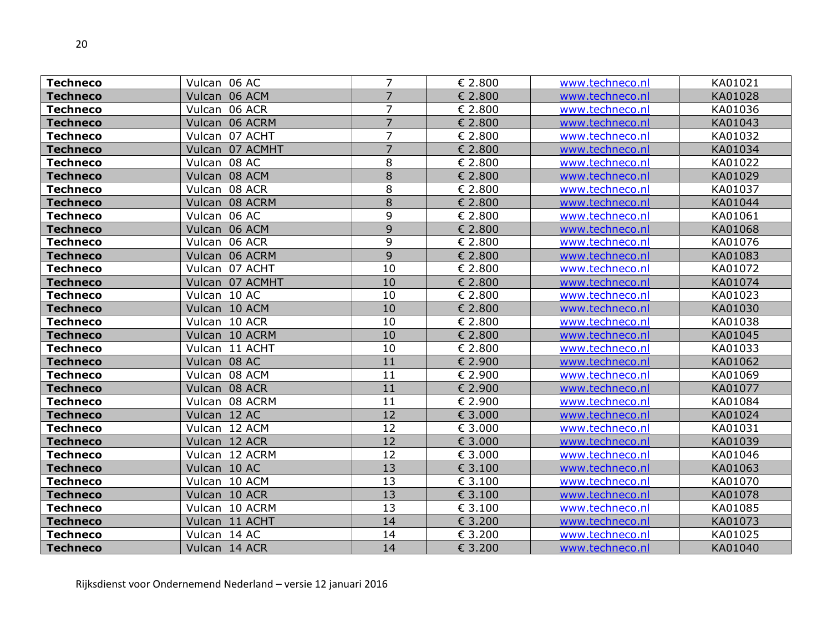| <b>Techneco</b> | Vulcan 06 AC      | 7              | € 2.800 | www.techneco.nl | KA01021 |
|-----------------|-------------------|----------------|---------|-----------------|---------|
| <b>Techneco</b> | Vulcan 06 ACM     | $\overline{7}$ | € 2.800 | www.techneco.nl | KA01028 |
| <b>Techneco</b> | Vulcan 06 ACR     | 7              | € 2.800 | www.techneco.nl | KA01036 |
| <b>Techneco</b> | Vulcan 06 ACRM    | $\overline{7}$ | € 2.800 | www.techneco.nl | KA01043 |
| <b>Techneco</b> | Vulcan 07 ACHT    | 7              | € 2.800 | www.techneco.nl | KA01032 |
| <b>Techneco</b> | Vulcan 07 ACMHT   | $\overline{7}$ | € 2.800 | www.techneco.nl | KA01034 |
| <b>Techneco</b> | Vulcan 08 AC      | 8              | € 2.800 | www.techneco.nl | KA01022 |
| <b>Techneco</b> | Vulcan 08 ACM     | 8              | € 2.800 | www.techneco.nl | KA01029 |
| <b>Techneco</b> | 08 ACR<br>Vulcan  | 8              | € 2.800 | www.techneco.nl | KA01037 |
| <b>Techneco</b> | Vulcan 08 ACRM    | 8              | € 2.800 | www.techneco.nl | KA01044 |
| <b>Techneco</b> | Vulcan 06 AC      | 9              | € 2.800 | www.techneco.nl | KA01061 |
| <b>Techneco</b> | Vulcan 06 ACM     | 9              | € 2.800 | www.techneco.nl | KA01068 |
| <b>Techneco</b> | Vulcan 06 ACR     | 9              | € 2.800 | www.techneco.nl | KA01076 |
| <b>Techneco</b> | 06 ACRM<br>Vulcan | 9              | € 2.800 | www.techneco.nl | KA01083 |
| <b>Techneco</b> | Vulcan 07 ACHT    | 10             | € 2.800 | www.techneco.nl | KA01072 |
| <b>Techneco</b> | Vulcan 07 ACMHT   | 10             | € 2.800 | www.techneco.nl | KA01074 |
| <b>Techneco</b> | Vulcan 10 AC      | 10             | € 2.800 | www.techneco.nl | KA01023 |
| <b>Techneco</b> | Vulcan 10 ACM     | 10             | € 2.800 | www.techneco.nl | KA01030 |
| <b>Techneco</b> | Vulcan 10 ACR     | 10             | € 2.800 | www.techneco.nl | KA01038 |
| <b>Techneco</b> | Vulcan 10 ACRM    | 10             | € 2.800 | www.techneco.nl | KA01045 |
| <b>Techneco</b> | Vulcan 11 ACHT    | 10             | € 2.800 | www.techneco.nl | KA01033 |
| <b>Techneco</b> | Vulcan 08 AC      | 11             | € 2.900 | www.techneco.nl | KA01062 |
| <b>Techneco</b> | Vulcan 08 ACM     | 11             | € 2.900 | www.techneco.nl | KA01069 |
| <b>Techneco</b> | Vulcan 08 ACR     | 11             | € 2.900 | www.techneco.nl | KA01077 |
| <b>Techneco</b> | Vulcan 08 ACRM    | 11             | € 2.900 | www.techneco.nl | KA01084 |
| <b>Techneco</b> | Vulcan 12 AC      | 12             | € 3.000 | www.techneco.nl | KA01024 |
| <b>Techneco</b> | Vulcan 12 ACM     | 12             | € 3.000 | www.techneco.nl | KA01031 |
| <b>Techneco</b> | Vulcan 12 ACR     | 12             | € 3.000 | www.techneco.nl | KA01039 |
| <b>Techneco</b> | Vulcan 12 ACRM    | 12             | € 3.000 | www.techneco.nl | KA01046 |
| <b>Techneco</b> | Vulcan 10 AC      | 13             | € 3.100 | www.techneco.nl | KA01063 |
| <b>Techneco</b> | Vulcan 10 ACM     | 13             | € 3.100 | www.techneco.nl | KA01070 |
| <b>Techneco</b> | Vulcan 10 ACR     | 13             | € 3.100 | www.techneco.nl | KA01078 |
| <b>Techneco</b> | Vulcan 10 ACRM    | 13             | € 3.100 | www.techneco.nl | KA01085 |
| <b>Techneco</b> | Vulcan 11 ACHT    | 14             | € 3.200 | www.techneco.nl | KA01073 |
| <b>Techneco</b> | Vulcan 14 AC      | 14             | € 3.200 | www.techneco.nl | KA01025 |
| <b>Techneco</b> | Vulcan 14 ACR     | 14             | € 3.200 | www.techneco.nl | KA01040 |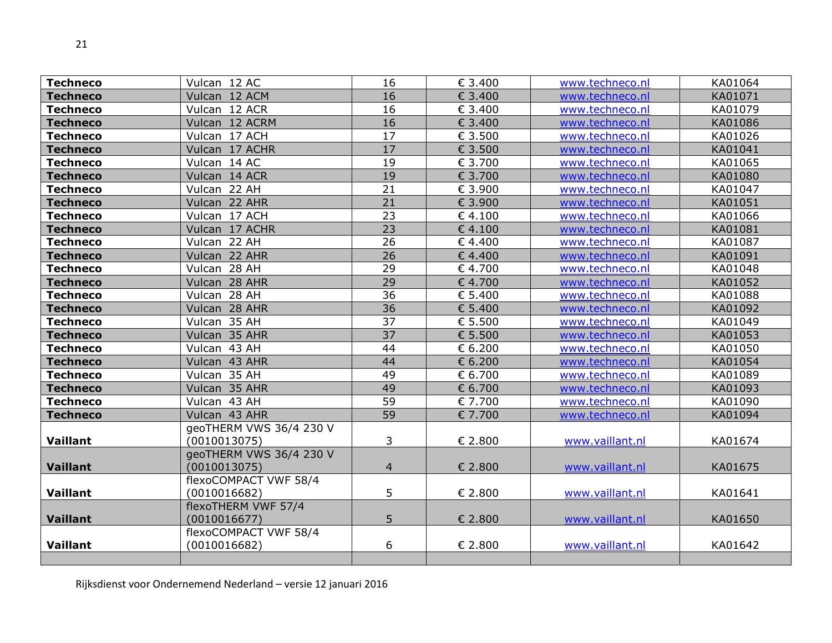| <b>Techneco</b> | Vulcan 12 AC                            | 16              | € 3.400 | www.techneco.nl | KA01064 |
|-----------------|-----------------------------------------|-----------------|---------|-----------------|---------|
| <b>Techneco</b> | Vulcan 12 ACM                           | 16              | € 3.400 | www.techneco.nl | KA01071 |
| <b>Techneco</b> | Vulcan 12 ACR                           | 16              | € 3.400 | www.techneco.nl | KA01079 |
| <b>Techneco</b> | Vulcan 12 ACRM                          | 16              | € 3.400 | www.techneco.nl | KA01086 |
| <b>Techneco</b> | Vulcan 17 ACH                           | 17              | € 3.500 | www.techneco.nl | KA01026 |
| <b>Techneco</b> | Vulcan 17 ACHR                          | 17              | € 3.500 | www.techneco.nl | KA01041 |
| <b>Techneco</b> | Vulcan 14 AC                            | 19              | € 3.700 | www.techneco.nl | KA01065 |
| <b>Techneco</b> | Vulcan 14 ACR                           | 19              | € 3.700 | www.techneco.nl | KA01080 |
| <b>Techneco</b> | Vulcan 22 AH                            | 21              | € 3.900 | www.techneco.nl | KA01047 |
| <b>Techneco</b> | Vulcan 22 AHR                           | 21              | € 3.900 | www.techneco.nl | KA01051 |
| Techneco        | Vulcan 17 ACH                           | 23              | €4.100  | www.techneco.nl | KA01066 |
| <b>Techneco</b> | Vulcan 17 ACHR                          | $\overline{23}$ | € 4.100 | www.techneco.nl | KA01081 |
| <b>Techneco</b> | Vulcan 22 AH                            | 26              | €4.400  | www.techneco.nl | KA01087 |
| <b>Techneco</b> | Vulcan 22 AHR                           | 26              | €4.400  | www.techneco.nl | KA01091 |
| <b>Techneco</b> | Vulcan 28 AH                            | 29              | €4.700  | www.techneco.nl | KA01048 |
| <b>Techneco</b> | Vulcan 28 AHR                           | 29              | € 4.700 | www.techneco.nl | KA01052 |
| <b>Techneco</b> | Vulcan 28 AH                            | 36              | € 5.400 | www.techneco.nl | KA01088 |
| <b>Techneco</b> | Vulcan 28 AHR                           | 36              | € 5.400 | www.techneco.nl | KA01092 |
| <b>Techneco</b> | Vulcan 35 AH                            | 37              | € 5.500 | www.techneco.nl | KA01049 |
| <b>Techneco</b> | Vulcan 35 AHR                           | 37              | € 5.500 | www.techneco.nl | KA01053 |
| <b>Techneco</b> | Vulcan 43 AH                            | 44              | € 6.200 | www.techneco.nl | KA01050 |
| <b>Techneco</b> | Vulcan 43 AHR                           | 44              | € 6.200 | www.techneco.nl | KA01054 |
| <b>Techneco</b> | Vulcan 35 AH                            | 49              | € 6.700 | www.techneco.nl | KA01089 |
| <b>Techneco</b> | Vulcan 35 AHR                           | 49              | € 6.700 | www.techneco.nl | KA01093 |
| <b>Techneco</b> | Vulcan 43 AH                            | 59              | € 7.700 | www.techneco.nl | KA01090 |
| <b>Techneco</b> | Vulcan 43 AHR                           | 59              | € 7.700 | www.techneco.nl | KA01094 |
| Vaillant        | geoTHERM VWS 36/4 230 V<br>(0010013075) | 3               | € 2.800 | www.vaillant.nl | KA01674 |
| <b>Vaillant</b> | geoTHERM VWS 36/4 230 V<br>(0010013075) | $\overline{4}$  | € 2.800 | www.vaillant.nl | KA01675 |
|                 | flexoCOMPACT VWF 58/4                   |                 |         |                 |         |
| <b>Vaillant</b> | (0010016682)                            | 5               | € 2.800 | www.vaillant.nl | KA01641 |
|                 | flexoTHERM VWF 57/4                     |                 |         |                 |         |
| <b>Vaillant</b> | (0010016677)                            | 5               | € 2.800 | www.vaillant.nl | KA01650 |
|                 | flexoCOMPACT VWF 58/4                   |                 |         |                 |         |
| <b>Vaillant</b> | (0010016682)                            | 6               | € 2.800 | www.vaillant.nl | KA01642 |
|                 |                                         |                 |         |                 |         |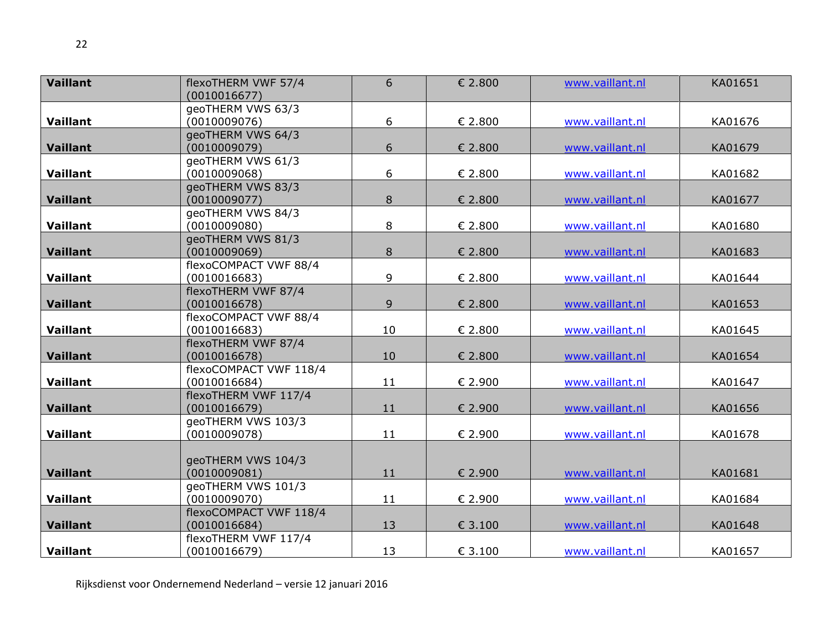| <b>Vaillant</b> | flexoTHERM VWF 57/4                  | 6  | € 2.800          | www.vaillant.nl | KA01651 |
|-----------------|--------------------------------------|----|------------------|-----------------|---------|
|                 | (0010016677)                         |    |                  |                 |         |
|                 | geoTHERM VWS 63/3                    |    |                  |                 |         |
| Vaillant        | (0010009076)                         | 6  | $\epsilon$ 2.800 | www.vaillant.nl | KA01676 |
|                 | geoTHERM VWS 64/3                    |    |                  |                 |         |
| <b>Vaillant</b> | (0010009079)                         | 6  | € 2.800          | www.vaillant.nl | KA01679 |
|                 | geoTHERM VWS 61/3                    |    |                  |                 |         |
| <b>Vaillant</b> | (0010009068)                         | 6  | $\epsilon$ 2.800 | www.vaillant.nl | KA01682 |
|                 | geoTHERM VWS 83/3                    |    |                  |                 |         |
| <b>Vaillant</b> | (0010009077)                         | 8  | € 2.800          | www.vaillant.nl | KA01677 |
|                 | geoTHERM VWS 84/3                    |    |                  |                 |         |
| Vaillant        | (0010009080)                         | 8  | € 2.800          | www.vaillant.nl | KA01680 |
|                 | geoTHERM VWS 81/3                    |    |                  |                 |         |
| <b>Vaillant</b> | (0010009069)                         | 8  | € 2.800          | www.vaillant.nl | KA01683 |
|                 | flexoCOMPACT VWF 88/4                |    |                  |                 |         |
| Vaillant        | (0010016683)                         | 9  | € 2.800          | www.vaillant.nl | KA01644 |
|                 | flexoTHERM VWF 87/4                  |    |                  |                 |         |
| <b>Vaillant</b> | (0010016678)                         | 9  | € 2.800          | www.vaillant.nl | KA01653 |
|                 | flexoCOMPACT VWF 88/4                |    |                  |                 |         |
| Vaillant        | (0010016683)                         | 10 | € 2.800          | www.vaillant.nl | KA01645 |
|                 | flexoTHERM VWF 87/4                  |    |                  |                 |         |
| <b>Vaillant</b> | (0010016678)                         | 10 | € 2.800          | www.vaillant.nl | KA01654 |
|                 | flexoCOMPACT VWF 118/4               |    |                  |                 |         |
| <b>Vaillant</b> | (0010016684)                         | 11 | € 2.900          | www.vaillant.nl | KA01647 |
| <b>Vaillant</b> | flexoTHERM VWF 117/4<br>(0010016679) |    |                  | www.vaillant.nl |         |
|                 | geoTHERM VWS 103/3                   | 11 | € 2.900          |                 | KA01656 |
| <b>Vaillant</b> | (0010009078)                         | 11 | € 2.900          | www.vaillant.nl | KA01678 |
|                 |                                      |    |                  |                 |         |
|                 | geoTHERM VWS 104/3                   |    |                  |                 |         |
| <b>Vaillant</b> | (0010009081)                         | 11 | € 2.900          | www.vaillant.nl | KA01681 |
|                 | geoTHERM VWS 101/3                   |    |                  |                 |         |
| Vaillant        | (0010009070)                         | 11 | € 2.900          | www.vaillant.nl | KA01684 |
|                 | flexoCOMPACT VWF 118/4               |    |                  |                 |         |
| <b>Vaillant</b> | (0010016684)                         | 13 | € 3.100          | www.vaillant.nl | KA01648 |
|                 | flexoTHERM VWF 117/4                 |    |                  |                 |         |
| Vaillant        | (0010016679)                         | 13 | € 3.100          | www.vaillant.nl | KA01657 |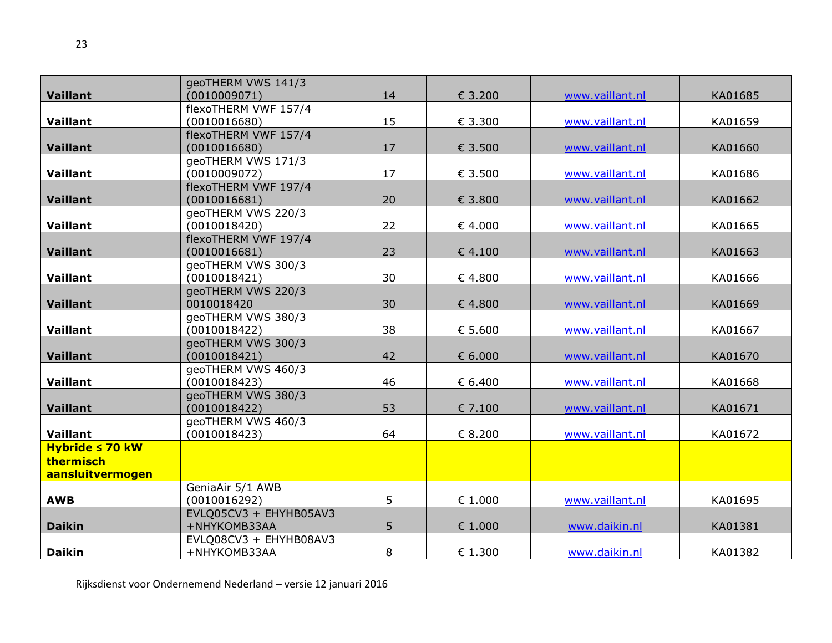|                      | geoTHERM VWS 141/3                 |                |                  |                 |         |
|----------------------|------------------------------------|----------------|------------------|-----------------|---------|
| <b>Vaillant</b>      | (0010009071)                       | 14             | € 3.200          | www.vaillant.nl | KA01685 |
|                      | flexoTHERM VWF 157/4               |                |                  |                 |         |
| Vaillant             | (0010016680)                       | 15             | € 3.300          | www.vaillant.nl | KA01659 |
|                      | flexoTHERM VWF 157/4               |                |                  |                 |         |
| <b>Vaillant</b>      | (0010016680)                       | 17             | € 3.500          | www.vaillant.nl | KA01660 |
|                      | geoTHERM VWS 171/3                 |                |                  |                 |         |
| Vaillant             | (0010009072)                       | 17             | € 3.500          | www.vaillant.nl | KA01686 |
|                      | flexoTHERM VWF 197/4               |                |                  |                 |         |
| <b>Vaillant</b>      | (0010016681)                       | 20             | € 3.800          | www.vaillant.nl | KA01662 |
|                      | geoTHERM VWS 220/3                 |                |                  |                 |         |
| Vaillant             | (0010018420)                       | 22             | $\epsilon$ 4.000 | www.vaillant.nl | KA01665 |
|                      | flexoTHERM VWF 197/4               |                |                  |                 |         |
| <b>Vaillant</b>      | (0010016681)<br>geoTHERM VWS 300/3 | 23             | $\epsilon$ 4.100 | www.vaillant.nl | KA01663 |
| Vaillant             | (0010018421)                       | 30             | $\epsilon$ 4.800 | www.vaillant.nl | KA01666 |
|                      | geoTHERM VWS 220/3                 |                |                  |                 |         |
| <b>Vaillant</b>      | 0010018420                         | 30             | €4.800           | www.vaillant.nl | KA01669 |
|                      | geoTHERM VWS 380/3                 |                |                  |                 |         |
| Vaillant             | (0010018422)                       | 38             | $\epsilon$ 5.600 | www.vaillant.nl | KA01667 |
|                      | geoTHERM VWS 300/3                 |                |                  |                 |         |
| <b>Vaillant</b>      | (0010018421)                       | 42             | $\epsilon$ 6.000 | www.vaillant.nl | KA01670 |
|                      | geoTHERM VWS 460/3                 |                |                  |                 |         |
| Vaillant             | (0010018423)                       | 46             | € 6.400          | www.vaillant.nl | KA01668 |
|                      | geoTHERM VWS 380/3                 |                |                  |                 |         |
| <b>Vaillant</b>      | (0010018422)                       | 53             | € 7.100          | www.vaillant.nl | KA01671 |
|                      | geoTHERM VWS 460/3                 |                |                  |                 |         |
| Vaillant             | (0010018423)                       | 64             | € 8.200          | www.vaillant.nl | KA01672 |
| Hybride $\leq 70$ kW |                                    |                |                  |                 |         |
| thermisch            |                                    |                |                  |                 |         |
| aansluitvermogen     |                                    |                |                  |                 |         |
|                      | GeniaAir 5/1 AWB                   |                |                  |                 |         |
| <b>AWB</b>           | (0010016292)                       | 5              | $\epsilon$ 1.000 | www.vaillant.nl | KA01695 |
|                      | EVLQ05CV3 + EHYHB05AV3             |                |                  |                 |         |
| <b>Daikin</b>        | +NHYKOMB33AA                       | 5 <sup>5</sup> | € 1.000          | www.daikin.nl   | KA01381 |
|                      | EVLQ08CV3 + EHYHB08AV3             |                |                  |                 |         |
| <b>Daikin</b>        | +NHYKOMB33AA                       | 8              | € 1.300          | www.daikin.nl   | KA01382 |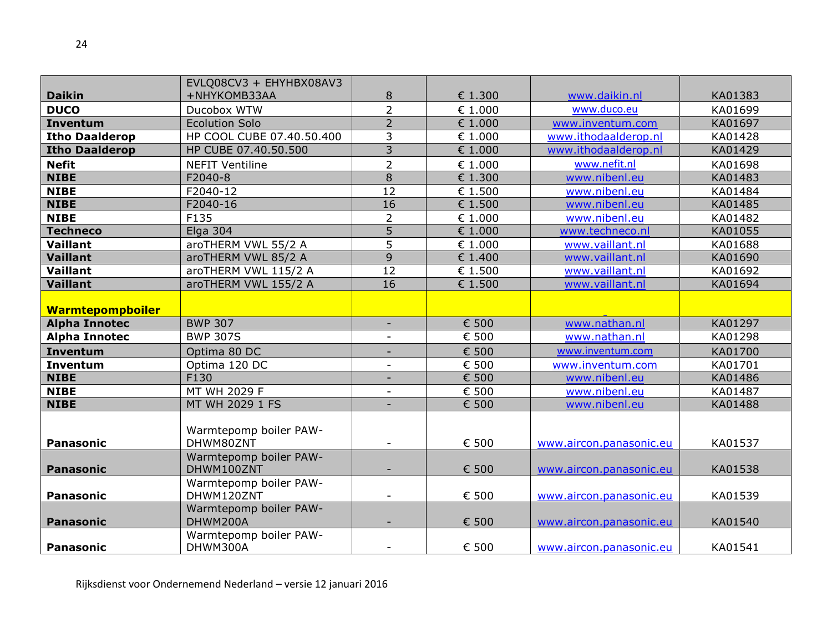|                         | EVLQ08CV3 + EHYHBX08AV3              |                          |                  |                         |         |
|-------------------------|--------------------------------------|--------------------------|------------------|-------------------------|---------|
| <b>Daikin</b>           | +NHYKOMB33AA                         | 8                        | € 1.300          | www.daikin.nl           | KA01383 |
| <b>DUCO</b>             | Ducobox WTW                          | $\overline{2}$           | $\epsilon$ 1.000 | www.duco.eu             | KA01699 |
| <b>Inventum</b>         | <b>Ecolution Solo</b>                | $\overline{2}$           | $\epsilon$ 1.000 | www.inventum.com        | KA01697 |
| <b>Itho Daalderop</b>   | HP COOL CUBE 07.40.50.400            | 3                        | $\epsilon$ 1.000 | www.ithodaalderop.nl    | KA01428 |
| <b>Itho Daalderop</b>   | HP CUBE 07.40.50.500                 | 3                        | € 1.000          | www.ithodaalderop.nl    | KA01429 |
| <b>Nefit</b>            | <b>NEFIT Ventiline</b>               | $\overline{2}$           | € 1.000          | www.nefit.nl            | KA01698 |
| <b>NIBE</b>             | F2040-8                              | 8                        | € 1.300          | www.nibenl.eu           | KA01483 |
| <b>NIBE</b>             | F2040-12                             | 12                       | € 1.500          | www.nibenl.eu           | KA01484 |
| <b>NIBE</b>             | F2040-16                             | 16                       | € 1.500          | www.nibenl.eu           | KA01485 |
| <b>NIBE</b>             | F135                                 | $\overline{2}$           | € 1.000          | www.nibenl.eu           | KA01482 |
| <b>Techneco</b>         | Elga 304                             | $\overline{5}$           | € 1.000          | www.techneco.nl         | KA01055 |
| Vaillant                | aroTHERM VWL 55/2 A                  | 5                        | $\epsilon$ 1.000 | www.vaillant.nl         | KA01688 |
| <b>Vaillant</b>         | aroTHERM VWL 85/2 A                  | $\overline{9}$           | € 1.400          | www.vaillant.nl         | KA01690 |
| Vaillant                | aroTHERM VWL 115/2 A                 | $\overline{12}$          | € 1.500          | www.vaillant.nl         | KA01692 |
| <b>Vaillant</b>         | aroTHERM VWL 155/2 A                 | 16                       | € 1.500          | www.vaillant.nl         | KA01694 |
| <b>Warmtepompboiler</b> |                                      |                          |                  |                         |         |
| <b>Alpha Innotec</b>    | <b>BWP 307</b>                       | $\overline{\phantom{a}}$ | € 500            | www.nathan.nl           | KA01297 |
| <b>Alpha Innotec</b>    | <b>BWP 307S</b>                      |                          | € 500            | www.nathan.nl           | KA01298 |
| <b>Inventum</b>         | Optima 80 DC                         |                          | € 500            | www.inventum.com        | KA01700 |
| Inventum                | Optima 120 DC                        |                          | € 500            | www.inventum.com        | KA01701 |
| <b>NIBE</b>             | F130                                 |                          | € 500            | www.nibenl.eu           | KA01486 |
| <b>NIBE</b>             | MT WH 2029 F                         |                          | € 500            | www.nibenl.eu           | KA01487 |
| <b>NIBE</b>             | MT WH 2029 1 FS                      | $\overline{\phantom{a}}$ | € 500            | www.nibenl.eu           | KA01488 |
|                         | Warmtepomp boiler PAW-               |                          |                  |                         |         |
| <b>Panasonic</b>        | DHWM80ZNT                            | $\overline{\phantom{a}}$ | € 500            | www.aircon.panasonic.eu | KA01537 |
| <b>Panasonic</b>        | Warmtepomp boiler PAW-<br>DHWM100ZNT | ٠                        | € 500            | www.aircon.panasonic.eu | KA01538 |
| <b>Panasonic</b>        | Warmtepomp boiler PAW-<br>DHWM120ZNT | $\overline{\phantom{a}}$ | € 500            | www.aircon.panasonic.eu | KA01539 |
| <b>Panasonic</b>        | Warmtepomp boiler PAW-<br>DHWM200A   |                          | € 500            | www.aircon.panasonic.eu | KA01540 |
| <b>Panasonic</b>        | Warmtepomp boiler PAW-<br>DHWM300A   |                          | € 500            | www.aircon.panasonic.eu | KA01541 |